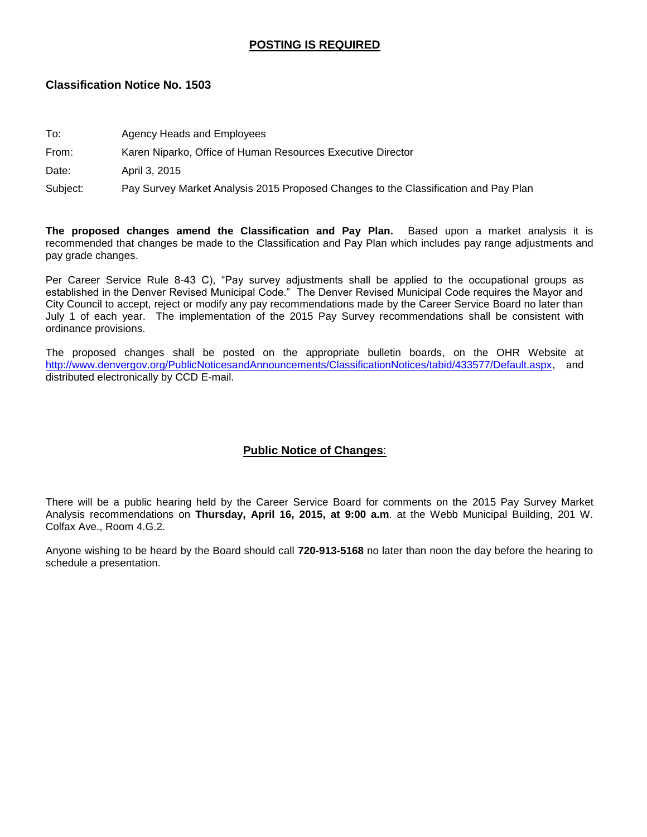# **POSTING IS REQUIRED**

## **Classification Notice No. 1503**

| To: | Agency Heads and Employees |  |
|-----|----------------------------|--|
|-----|----------------------------|--|

## From: Karen Niparko, Office of Human Resources Executive Director

Date: April 3, 2015

Subject: Pay Survey Market Analysis 2015 Proposed Changes to the Classification and Pay Plan

**The proposed changes amend the Classification and Pay Plan.** Based upon a market analysis it is recommended that changes be made to the Classification and Pay Plan which includes pay range adjustments and pay grade changes.

Per Career Service Rule 8-43 C), "Pay survey adjustments shall be applied to the occupational groups as established in the Denver Revised Municipal Code." The Denver Revised Municipal Code requires the Mayor and City Council to accept, reject or modify any pay recommendations made by the Career Service Board no later than July 1 of each year. The implementation of the 2015 Pay Survey recommendations shall be consistent with ordinance provisions.

The proposed changes shall be posted on the appropriate bulletin boards, on the OHR Website at [http://www.denvergov.org/PublicNoticesandAnnouncements/ClassificationNotices/tabid/433577/Default.aspx,](http://www.denvergov.org/PublicNoticesandAnnouncements/ClassificationNotices/tabid/433577/Default.aspx) and distributed electronically by CCD E-mail.

# **Public Notice of Changes**:

There will be a public hearing held by the Career Service Board for comments on the 2015 Pay Survey Market Analysis recommendations on **Thursday, April 16, 2015, at 9:00 a.m**. at the Webb Municipal Building, 201 W. Colfax Ave., Room 4.G.2.

Anyone wishing to be heard by the Board should call **720-913-5168** no later than noon the day before the hearing to schedule a presentation.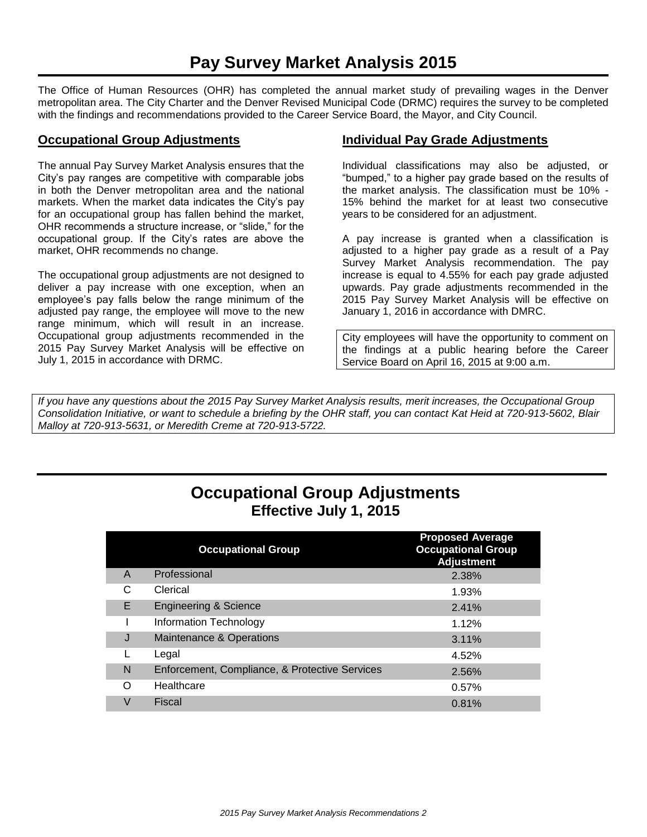The Office of Human Resources (OHR) has completed the annual market study of prevailing wages in the Denver metropolitan area. The City Charter and the Denver Revised Municipal Code (DRMC) requires the survey to be completed with the findings and recommendations provided to the Career Service Board, the Mayor, and City Council.

## **Occupational Group Adjustments**

The annual Pay Survey Market Analysis ensures that the City's pay ranges are competitive with comparable jobs in both the Denver metropolitan area and the national markets. When the market data indicates the City's pay for an occupational group has fallen behind the market, OHR recommends a structure increase, or "slide," for the occupational group. If the City's rates are above the market, OHR recommends no change.

The occupational group adjustments are not designed to deliver a pay increase with one exception, when an employee's pay falls below the range minimum of the adjusted pay range, the employee will move to the new range minimum, which will result in an increase. Occupational group adjustments recommended in the 2015 Pay Survey Market Analysis will be effective on July 1, 2015 in accordance with DRMC.

# **Individual Pay Grade Adjustments**

Individual classifications may also be adjusted, or "bumped," to a higher pay grade based on the results of the market analysis. The classification must be 10% - 15% behind the market for at least two consecutive years to be considered for an adjustment.

A pay increase is granted when a classification is adjusted to a higher pay grade as a result of a Pay Survey Market Analysis recommendation. The pay increase is equal to 4.55% for each pay grade adjusted upwards. Pay grade adjustments recommended in the 2015 Pay Survey Market Analysis will be effective on January 1, 2016 in accordance with DMRC.

City employees will have the opportunity to comment on the findings at a public hearing before the Career Service Board on April 16, 2015 at 9:00 a.m.

*If you have any questions about the 2015 Pay Survey Market Analysis results, merit increases, the Occupational Group Consolidation Initiative, or want to schedule a briefing by the OHR staff, you can contact Kat Heid at 720-913-5602, Blair Malloy at 720-913-5631, or Meredith Creme at 720-913-5722.*

# **Occupational Group Adjustments Effective July 1, 2015**

|   | <b>Occupational Group</b>                      | <b>Proposed Average</b><br><b>Occupational Group</b><br><b>Adjustment</b> |
|---|------------------------------------------------|---------------------------------------------------------------------------|
| A | Professional                                   | 2.38%                                                                     |
| C | Clerical                                       | 1.93%                                                                     |
| E | <b>Engineering &amp; Science</b>               | 2.41%                                                                     |
|   | Information Technology                         | 1.12%                                                                     |
| J | Maintenance & Operations                       | 3.11%                                                                     |
|   | Legal                                          | 4.52%                                                                     |
| N | Enforcement, Compliance, & Protective Services | 2.56%                                                                     |
| Ω | Healthcare                                     | 0.57%                                                                     |
| V | Fiscal                                         | 0.81%                                                                     |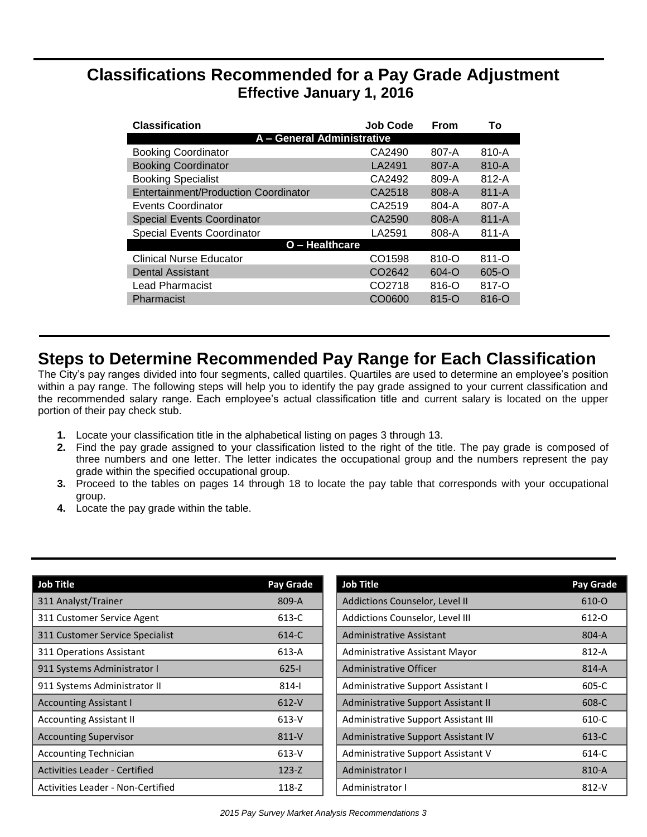# **Classifications Recommended for a Pay Grade Adjustment Effective January 1, 2016**

| <b>Classification</b>                | <b>Job Code</b>    | From      | Т٥        |
|--------------------------------------|--------------------|-----------|-----------|
| A - General Administrative           |                    |           |           |
| <b>Booking Coordinator</b>           | CA2490             | 807-A     | 810-A     |
| <b>Booking Coordinator</b>           | LA2491             | 807-A     | 810-A     |
| <b>Booking Specialist</b>            | CA2492             | 809-A     | $812-A$   |
| Entertainment/Production Coordinator | CA2518             | 808-A     | $811 - A$ |
| Events Coordinator                   | CA2519             | 804-A     | 807-A     |
| <b>Special Events Coordinator</b>    | CA2590             | 808-A     | $811 - A$ |
| <b>Special Events Coordinator</b>    | LA2591             | 808-A     | $811 - A$ |
| O - Healthcare                       |                    |           |           |
| <b>Clinical Nurse Educator</b>       | CO1598             | $810 - O$ | $811 - O$ |
| <b>Dental Assistant</b>              | CO <sub>2642</sub> | 604-O     | $605 - O$ |
| Lead Pharmacist                      | CO <sub>2718</sub> | $816 - 0$ | 817-O     |
| Pharmacist                           | CO0600             | $815 - O$ | $816 - 0$ |

# **Steps to Determine Recommended Pay Range for Each Classification**

The City's pay ranges divided into four segments, called quartiles. Quartiles are used to determine an employee's position within a pay range. The following steps will help you to identify the pay grade assigned to your current classification and the recommended salary range. Each employee's actual classification title and current salary is located on the upper portion of their pay check stub.

- **1.** Locate your classification title in the alphabetical listing on pages 3 through 13.
- **2.** Find the pay grade assigned to your classification listed to the right of the title. The pay grade is composed of three numbers and one letter. The letter indicates the occupational group and the numbers represent the pay grade within the specified occupational group.
- **3.** Proceed to the tables on pages 14 through 18 to locate the pay table that corresponds with your occupational group.
- **4.** Locate the pay grade within the table.

| Job Title                            | <b>Pay Grade</b> | <b>Job Title</b>                     | <b>Pay Grade</b> |
|--------------------------------------|------------------|--------------------------------------|------------------|
| 311 Analyst/Trainer                  | 809-A            | Addictions Counselor, Level II       | 610-O            |
| 311 Customer Service Agent           | 613-C            | Addictions Counselor, Level III      | 612-0            |
| 311 Customer Service Specialist      | 614-C            | Administrative Assistant             | 804-A            |
| 311 Operations Assistant             | 613-A            | Administrative Assistant Mayor       | 812-A            |
| 911 Systems Administrator I          | $625 - 1$        | Administrative Officer               | 814-A            |
| 911 Systems Administrator II         | $814 -$          | Administrative Support Assistant I   | 605-C            |
| <b>Accounting Assistant I</b>        | $612-V$          | Administrative Support Assistant II  | 608-C            |
| <b>Accounting Assistant II</b>       | $613-V$          | Administrative Support Assistant III | 610-C            |
| <b>Accounting Supervisor</b>         | 811-V            | Administrative Support Assistant IV  | 613-C            |
| <b>Accounting Technician</b>         | $613-V$          | Administrative Support Assistant V   | $614-C$          |
| <b>Activities Leader - Certified</b> | $123 - Z$        | Administrator I                      | 810-A            |
| Activities Leader - Non-Certified    | $118 - Z$        | Administrator I                      | $812-Y$          |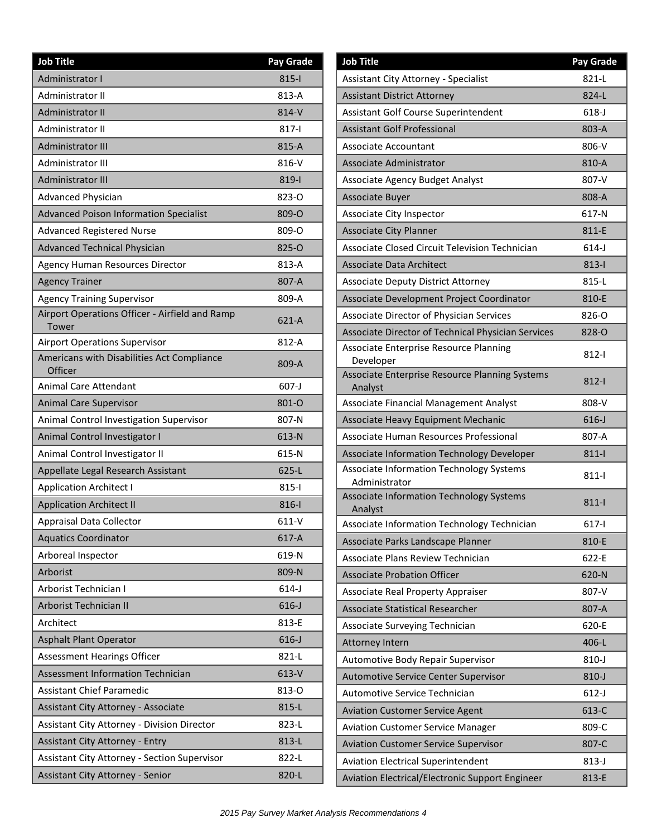| <b>Job Title</b>                                        | Pay Grade |
|---------------------------------------------------------|-----------|
| Administrator I                                         | $815 -$   |
| Administrator II                                        | 813-A     |
| <b>Administrator II</b>                                 | 814-V     |
| Administrator II                                        | 817-l     |
| <b>Administrator III</b>                                | 815-A     |
| Administrator III                                       | 816-V     |
| <b>Administrator III</b>                                | 819-l     |
| Advanced Physician                                      | 823-0     |
| <b>Advanced Poison Information Specialist</b>           | 809-O     |
| <b>Advanced Registered Nurse</b>                        | 809-O     |
| <b>Advanced Technical Physician</b>                     | 825-O     |
| <b>Agency Human Resources Director</b>                  | 813-A     |
| <b>Agency Trainer</b>                                   | 807-A     |
| <b>Agency Training Supervisor</b>                       | 809-A     |
| Airport Operations Officer - Airfield and Ramp<br>Tower | 621-A     |
| <b>Airport Operations Supervisor</b>                    | 812-A     |
| Americans with Disabilities Act Compliance<br>Officer   | 809-A     |
| <b>Animal Care Attendant</b>                            | 607-J     |
| <b>Animal Care Supervisor</b>                           | 801-O     |
| Animal Control Investigation Supervisor                 | 807-N     |
| Animal Control Investigator I                           | 613-N     |
| Animal Control Investigator II                          | 615-N     |
| Appellate Legal Research Assistant                      | $625-L$   |
| <b>Application Architect I</b>                          | $815 -$   |
| <b>Application Architect II</b>                         | $816-1$   |
| Appraisal Data Collector                                | $611-V$   |
| <b>Aquatics Coordinator</b>                             | 617-A     |
| Arboreal Inspector                                      | 619-N     |
| Arborist                                                | 809-N     |
| Arborist Technician I                                   | $614-J$   |
| Arborist Technician II                                  | $616 - J$ |
| Architect                                               | 813-E     |
| <b>Asphalt Plant Operator</b>                           | $616 - J$ |
| Assessment Hearings Officer                             | 821-L     |
| <b>Assessment Information Technician</b>                | 613-V     |
| <b>Assistant Chief Paramedic</b>                        | 813-0     |
| Assistant City Attorney - Associate                     | 815-L     |
| Assistant City Attorney - Division Director             | 823-L     |
| <b>Assistant City Attorney - Entry</b>                  | 813-L     |
| <b>Assistant City Attorney - Section Supervisor</b>     | 822-L     |
| Assistant City Attorney - Senior                        | 820-L     |

| <b>Job Title</b>                                          | Pay Grade |
|-----------------------------------------------------------|-----------|
| Assistant City Attorney - Specialist                      | $821-L$   |
| <b>Assistant District Attorney</b>                        | 824-L     |
| Assistant Golf Course Superintendent                      | $618 - J$ |
| <b>Assistant Golf Professional</b>                        | 803-A     |
| Associate Accountant                                      | 806-V     |
| Associate Administrator                                   | 810-A     |
| Associate Agency Budget Analyst                           | 807-V     |
| <b>Associate Buyer</b>                                    | 808-A     |
| Associate City Inspector                                  | 617-N     |
| <b>Associate City Planner</b>                             | 811-E     |
| Associate Closed Circuit Television Technician            | $614-J$   |
| <b>Associate Data Architect</b>                           | $813-1$   |
| <b>Associate Deputy District Attorney</b>                 | 815-L     |
| Associate Development Project Coordinator                 | 810-E     |
| Associate Director of Physician Services                  | 826-O     |
| Associate Director of Technical Physician Services        | 828-O     |
| Associate Enterprise Resource Planning<br>Developer       | 812-l     |
| Associate Enterprise Resource Planning Systems<br>Analyst | $812 - 1$ |
| Associate Financial Management Analyst                    | 808-V     |
| Associate Heavy Equipment Mechanic                        | $616 - J$ |
| Associate Human Resources Professional                    | 807-A     |
| Associate Information Technology Developer                | $811 -$   |
| Associate Information Technology Systems<br>Administrator | $811 -$   |
| Associate Information Technology Systems<br>Analyst       | $811 -$   |
| Associate Information Technology Technician               | $617 -$   |
| Associate Parks Landscape Planner                         | 810-E     |
| Associate Plans Review Technician                         | 622-E     |
| <b>Associate Probation Officer</b>                        | 620-N     |
| Associate Real Property Appraiser                         | 807-V     |
| <b>Associate Statistical Researcher</b>                   | 807-A     |
| Associate Surveying Technician                            | 620-E     |
| <b>Attorney Intern</b>                                    | 406-L     |
| Automotive Body Repair Supervisor                         | $810 - J$ |
| Automotive Service Center Supervisor                      | $810 - J$ |
| Automotive Service Technician                             | $612-J$   |
| <b>Aviation Customer Service Agent</b>                    | 613-C     |
| <b>Aviation Customer Service Manager</b>                  | 809-C     |
| <b>Aviation Customer Service Supervisor</b>               | 807-C     |
| <b>Aviation Electrical Superintendent</b>                 | $813-J$   |
| Aviation Electrical/Electronic Support Engineer           | 813-E     |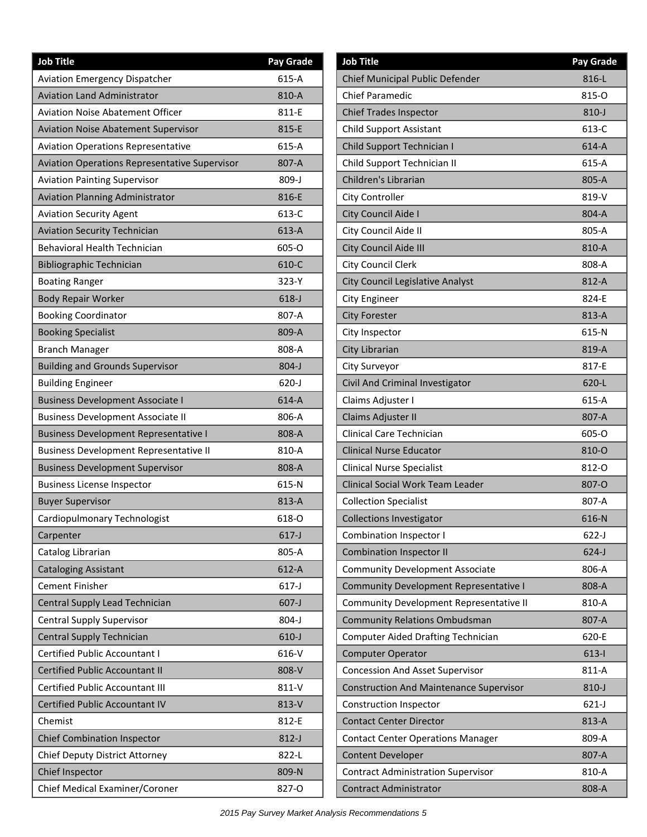| <b>Job Title</b>                                     | <b>Pay Grade</b> |
|------------------------------------------------------|------------------|
| <b>Aviation Emergency Dispatcher</b>                 | 615-A            |
| <b>Aviation Land Administrator</b>                   | 810-A            |
| <b>Aviation Noise Abatement Officer</b>              | 811-E            |
| <b>Aviation Noise Abatement Supervisor</b>           | 815-E            |
| <b>Aviation Operations Representative</b>            | 615-A            |
| <b>Aviation Operations Representative Supervisor</b> | 807-A            |
| <b>Aviation Painting Supervisor</b>                  | $809 - J$        |
| <b>Aviation Planning Administrator</b>               | 816-E            |
| <b>Aviation Security Agent</b>                       | 613-C            |
| <b>Aviation Security Technician</b>                  | 613-A            |
| <b>Behavioral Health Technician</b>                  | 605-O            |
| <b>Bibliographic Technician</b>                      | 610-C            |
| <b>Boating Ranger</b>                                | 323-Y            |
| <b>Body Repair Worker</b>                            | $618 - J$        |
| <b>Booking Coordinator</b>                           | 807-A            |
| <b>Booking Specialist</b>                            | 809-A            |
| <b>Branch Manager</b>                                | 808-A            |
| <b>Building and Grounds Supervisor</b>               | $804 - J$        |
| <b>Building Engineer</b>                             | $620 - J$        |
| <b>Business Development Associate I</b>              | 614-A            |
| <b>Business Development Associate II</b>             | 806-A            |
| <b>Business Development Representative I</b>         | 808-A            |
| <b>Business Development Representative II</b>        | 810-A            |
| <b>Business Development Supervisor</b>               | 808-A            |
| <b>Business License Inspector</b>                    | 615-N            |
| <b>Buyer Supervisor</b>                              | 813-A            |
| Cardiopulmonary Technologist                         | 618-0            |
| Carpenter                                            | $617-J$          |
| Catalog Librarian                                    | 805-A            |
| <b>Cataloging Assistant</b>                          | 612-A            |
| <b>Cement Finisher</b>                               | $617-J$          |
| Central Supply Lead Technician                       | $607-J$          |
| <b>Central Supply Supervisor</b>                     | 804-J            |
| Central Supply Technician                            | $610-J$          |
| <b>Certified Public Accountant I</b>                 | 616-V            |
| <b>Certified Public Accountant II</b>                | 808-V            |
| <b>Certified Public Accountant III</b>               | 811-V            |
| Certified Public Accountant IV                       | 813-V            |
| Chemist                                              | 812-E            |
| <b>Chief Combination Inspector</b>                   | $812-J$          |
| Chief Deputy District Attorney                       | 822-L            |
| Chief Inspector                                      | 809-N            |
| Chief Medical Examiner/Coroner                       | 827-0            |

| <b>Job Title</b>                               | <b>Pay Grade</b> |
|------------------------------------------------|------------------|
| Chief Municipal Public Defender                | 816-L            |
| <b>Chief Paramedic</b>                         | 815-0            |
| <b>Chief Trades Inspector</b>                  | $810-J$          |
| <b>Child Support Assistant</b>                 | 613-C            |
| Child Support Technician I                     | $614-A$          |
| Child Support Technician II                    | $615-A$          |
| Children's Librarian                           | 805-A            |
| City Controller                                | 819-V            |
| City Council Aide I                            | 804-A            |
| City Council Aide II                           | 805-A            |
| City Council Aide III                          | 810-A            |
| City Council Clerk                             | 808-A            |
| City Council Legislative Analyst               | 812-A            |
| <b>City Engineer</b>                           | 824-E            |
| <b>City Forester</b>                           | 813-A            |
| City Inspector                                 | 615-N            |
| City Librarian                                 | 819-A            |
| City Surveyor                                  | 817-E            |
| Civil And Criminal Investigator                | $620 - L$        |
| Claims Adjuster I                              | $615-A$          |
| Claims Adjuster II                             | 807-A            |
| Clinical Care Technician                       | 605-O            |
| <b>Clinical Nurse Educator</b>                 | 810-O            |
| <b>Clinical Nurse Specialist</b>               | 812-0            |
| Clinical Social Work Team Leader               | 807-O            |
| <b>Collection Specialist</b>                   | 807-A            |
| <b>Collections Investigator</b>                | 616-N            |
| Combination Inspector I                        | 622-J            |
| <b>Combination Inspector II</b>                | $624-J$          |
| <b>Community Development Associate</b>         | 806-A            |
| <b>Community Development Representative I</b>  | 808-A            |
| Community Development Representative II        | 810-A            |
| <b>Community Relations Ombudsman</b>           | 807-A            |
| <b>Computer Aided Drafting Technician</b>      | 620-E            |
| <b>Computer Operator</b>                       | $613-1$          |
| <b>Concession And Asset Supervisor</b>         | 811-A            |
| <b>Construction And Maintenance Supervisor</b> | 810-J            |
| <b>Construction Inspector</b>                  | $621-J$          |
| <b>Contact Center Director</b>                 | 813-A            |
| <b>Contact Center Operations Manager</b>       | 809-A            |
| <b>Content Developer</b>                       | 807-A            |
| <b>Contract Administration Supervisor</b>      | 810-A            |
| <b>Contract Administrator</b>                  | 808-A            |
|                                                |                  |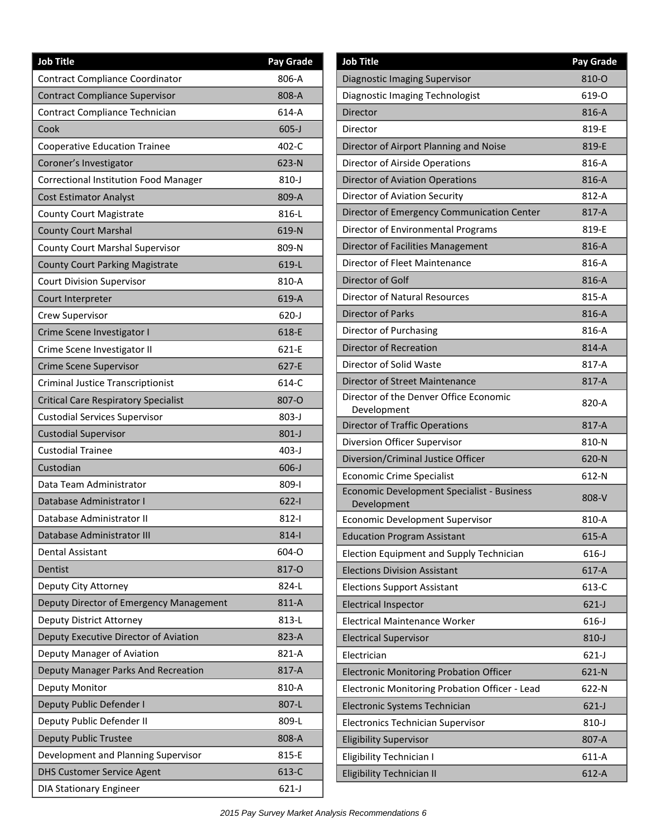| <b>Job Title</b>                             | <b>Pay Grade</b> |
|----------------------------------------------|------------------|
| Contract Compliance Coordinator              | 806-A            |
| Contract Compliance Supervisor               | 808-A            |
| Contract Compliance Technician               | 614-A            |
| Cook                                         | $605-J$          |
| <b>Cooperative Education Trainee</b>         | 402-C            |
| Coroner's Investigator                       | 623-N            |
| <b>Correctional Institution Food Manager</b> | 810-J            |
| <b>Cost Estimator Analyst</b>                | 809-A            |
| <b>County Court Magistrate</b>               | 816-L            |
| <b>County Court Marshal</b>                  | 619-N            |
| County Court Marshal Supervisor              | 809-N            |
| <b>County Court Parking Magistrate</b>       | 619-L            |
| <b>Court Division Supervisor</b>             | 810-A            |
| Court Interpreter                            | 619-A            |
| Crew Supervisor                              | $620 - J$        |
| Crime Scene Investigator I                   | 618-E            |
| Crime Scene Investigator II                  | 621-E            |
| <b>Crime Scene Supervisor</b>                | 627-E            |
| <b>Criminal Justice Transcriptionist</b>     | 614-C            |
| <b>Critical Care Respiratory Specialist</b>  | 807-O            |
| <b>Custodial Services Supervisor</b>         | $803 - J$        |
| <b>Custodial Supervisor</b>                  | $801-J$          |
| <b>Custodial Trainee</b>                     | 403-J            |
| Custodian                                    | $606 - J$        |
| Data Team Administrator                      | 809-l            |
| Database Administrator I                     | $622 - 1$        |
| Database Administrator II                    | $812 -$          |
| Database Administrator III                   | $814 -$          |
| <b>Dental Assistant</b>                      | 604-O            |
| Dentist                                      | 817-O            |
| Deputy City Attorney                         | 824-L            |
| Deputy Director of Emergency Management      | 811-A            |
| Deputy District Attorney                     | 813-L            |
| Deputy Executive Director of Aviation        | 823-A            |
| Deputy Manager of Aviation                   | 821-A            |
| Deputy Manager Parks And Recreation          | 817-A            |
| Deputy Monitor                               | 810-A            |
| Deputy Public Defender I                     | 807-L            |
| Deputy Public Defender II                    | 809-L            |
| <b>Deputy Public Trustee</b>                 | 808-A            |
| Development and Planning Supervisor          | 815-E            |
| <b>DHS Customer Service Agent</b>            | 613-C            |
| <b>DIA Stationary Engineer</b>               | $621-J$          |

| <b>Job Title</b>                                          | Pay Grade |
|-----------------------------------------------------------|-----------|
| <b>Diagnostic Imaging Supervisor</b>                      | 810-O     |
| Diagnostic Imaging Technologist                           | 619-O     |
| Director                                                  | 816-A     |
| Director                                                  | 819-E     |
| Director of Airport Planning and Noise                    | 819-E     |
| Director of Airside Operations                            | 816-A     |
| <b>Director of Aviation Operations</b>                    | 816-A     |
| Director of Aviation Security                             | 812-A     |
| Director of Emergency Communication Center                | 817-A     |
| Director of Environmental Programs                        | 819-E     |
| Director of Facilities Management                         | 816-A     |
| Director of Fleet Maintenance                             | 816-A     |
| Director of Golf                                          | 816-A     |
| <b>Director of Natural Resources</b>                      | 815-A     |
| <b>Director of Parks</b>                                  | 816-A     |
| Director of Purchasing                                    | 816-A     |
| <b>Director of Recreation</b>                             | 814-A     |
| Director of Solid Waste                                   | 817-A     |
| Director of Street Maintenance                            | 817-A     |
| Director of the Denver Office Economic<br>Development     | 820-A     |
| <b>Director of Traffic Operations</b>                     | 817-A     |
| Diversion Officer Supervisor                              | 810-N     |
| Diversion/Criminal Justice Officer                        | 620-N     |
| <b>Economic Crime Specialist</b>                          | 612-N     |
| Economic Development Specialist - Business<br>Development | 808-V     |
| Economic Development Supervisor                           | 810-A     |
| <b>Education Program Assistant</b>                        | $615-A$   |
| Election Equipment and Supply Technician                  | $616 - J$ |
| <b>Elections Division Assistant</b>                       | 617-A     |
| <b>Elections Support Assistant</b>                        | 613-C     |
| <b>Electrical Inspector</b>                               | $621-J$   |
| <b>Electrical Maintenance Worker</b>                      | $616 - J$ |
| <b>Electrical Supervisor</b>                              | $810 - J$ |
| Electrician                                               | $621-J$   |
| <b>Electronic Monitoring Probation Officer</b>            | 621-N     |
| Electronic Monitoring Probation Officer - Lead            | 622-N     |
| Electronic Systems Technician                             | $621-J$   |
| Electronics Technician Supervisor                         | $810 - J$ |
| <b>Eligibility Supervisor</b>                             | 807-A     |
| Eligibility Technician I                                  | 611-A     |
| Eligibility Technician II                                 | $612-A$   |
|                                                           |           |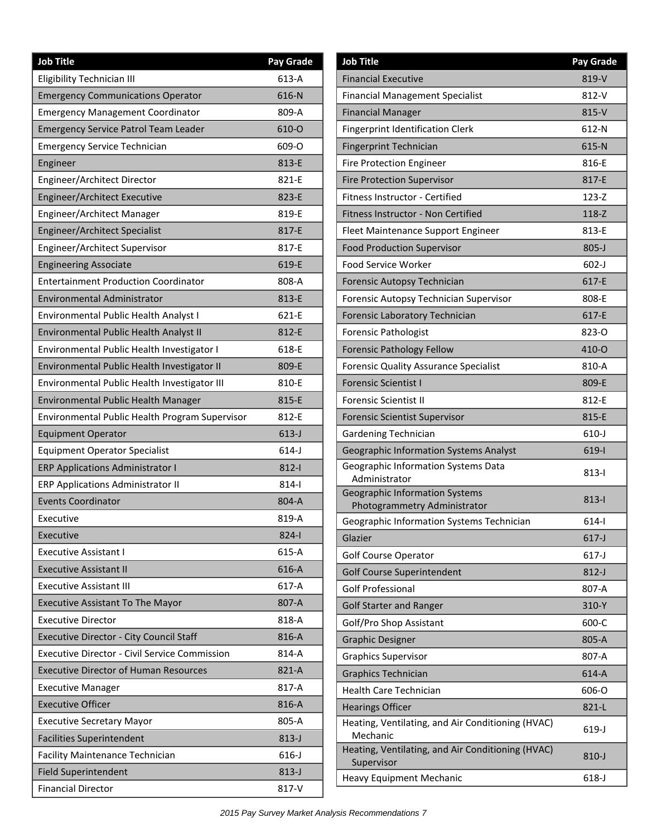| <b>Job Title</b>                                     | Pay Grade |
|------------------------------------------------------|-----------|
| Eligibility Technician III                           | 613-A     |
| <b>Emergency Communications Operator</b>             | 616-N     |
| <b>Emergency Management Coordinator</b>              | 809-A     |
| <b>Emergency Service Patrol Team Leader</b>          | 610-O     |
| <b>Emergency Service Technician</b>                  | 609-O     |
| Engineer                                             | 813-E     |
| Engineer/Architect Director                          | 821-E     |
| Engineer/Architect Executive                         | 823-E     |
| Engineer/Architect Manager                           | 819-E     |
| Engineer/Architect Specialist                        | 817-E     |
| Engineer/Architect Supervisor                        | 817-E     |
| <b>Engineering Associate</b>                         | 619-E     |
| <b>Entertainment Production Coordinator</b>          | 808-A     |
| <b>Environmental Administrator</b>                   | 813-E     |
| Environmental Public Health Analyst I                | 621-E     |
| Environmental Public Health Analyst II               | 812-E     |
| Environmental Public Health Investigator I           | 618-E     |
| Environmental Public Health Investigator II          | 809-E     |
| Environmental Public Health Investigator III         | 810-E     |
| Environmental Public Health Manager                  | 815-E     |
| Environmental Public Health Program Supervisor       | 812-E     |
| <b>Equipment Operator</b>                            | $613-J$   |
| <b>Equipment Operator Specialist</b>                 | $614-J$   |
| <b>ERP Applications Administrator I</b>              | $812 - 1$ |
| <b>ERP Applications Administrator II</b>             | $814 -$   |
| <b>Events Coordinator</b>                            | 804-A     |
| Executive                                            | 819-A     |
| Executive                                            | $824 - 1$ |
| <b>Executive Assistant I</b>                         | 615-A     |
| <b>Executive Assistant II</b>                        | 616-A     |
| <b>Executive Assistant III</b>                       | $617-A$   |
| <b>Executive Assistant To The Mayor</b>              | 807-A     |
| <b>Executive Director</b>                            | 818-A     |
| <b>Executive Director - City Council Staff</b>       | 816-A     |
| <b>Executive Director - Civil Service Commission</b> | 814-A     |
| <b>Executive Director of Human Resources</b>         | 821-A     |
| <b>Executive Manager</b>                             | 817-A     |
| <b>Executive Officer</b>                             | 816-A     |
| <b>Executive Secretary Mayor</b>                     | 805-A     |
| <b>Facilities Superintendent</b>                     | $813-J$   |
| <b>Facility Maintenance Technician</b>               | 616-J     |
| <b>Field Superintendent</b>                          | $813 - J$ |
| <b>Financial Director</b>                            | 817-V     |

| <b>Job Title</b>                                                      | Pay Grade |
|-----------------------------------------------------------------------|-----------|
| <b>Financial Executive</b>                                            | 819-V     |
| <b>Financial Management Specialist</b>                                | 812-V     |
| <b>Financial Manager</b>                                              | 815-V     |
| <b>Fingerprint Identification Clerk</b>                               | 612-N     |
| <b>Fingerprint Technician</b>                                         | 615-N     |
| <b>Fire Protection Engineer</b>                                       | 816-E     |
| <b>Fire Protection Supervisor</b>                                     | 817-E     |
| Fitness Instructor - Certified                                        | 123-Z     |
| Fitness Instructor - Non Certified                                    | 118-Z     |
| Fleet Maintenance Support Engineer                                    | 813-E     |
| <b>Food Production Supervisor</b>                                     | $805 - J$ |
| <b>Food Service Worker</b>                                            | $602 - J$ |
| Forensic Autopsy Technician                                           | 617-E     |
| Forensic Autopsy Technician Supervisor                                | 808-E     |
| Forensic Laboratory Technician                                        | 617-E     |
| <b>Forensic Pathologist</b>                                           | 823-0     |
| <b>Forensic Pathology Fellow</b>                                      | 410-O     |
| <b>Forensic Quality Assurance Specialist</b>                          | 810-A     |
| <b>Forensic Scientist I</b>                                           | 809-E     |
| <b>Forensic Scientist II</b>                                          | 812-E     |
| <b>Forensic Scientist Supervisor</b>                                  | 815-E     |
| Gardening Technician                                                  | $610-J$   |
| Geographic Information Systems Analyst                                | 619-l     |
| Geographic Information Systems Data<br>Administrator                  | 813-l     |
| <b>Geographic Information Systems</b><br>Photogrammetry Administrator | 813-l     |
| Geographic Information Systems Technician                             | 614-l     |
| Glazier                                                               | $617-J$   |
| Golf Course Operator                                                  | $617-J$   |
| <b>Golf Course Superintendent</b>                                     | $812-J$   |
| <b>Golf Professional</b>                                              | 807-A     |
| <b>Golf Starter and Ranger</b>                                        | 310-Y     |
| Golf/Pro Shop Assistant                                               | 600-C     |
| <b>Graphic Designer</b>                                               | 805-A     |
| <b>Graphics Supervisor</b>                                            | 807-A     |
| <b>Graphics Technician</b>                                            | 614-A     |
| <b>Health Care Technician</b>                                         | 606-O     |
| <b>Hearings Officer</b>                                               | 821-L     |
| Heating, Ventilating, and Air Conditioning (HVAC)<br>Mechanic         | $619-J$   |
| Heating, Ventilating, and Air Conditioning (HVAC)<br>Supervisor       | 810-J     |
| <b>Heavy Equipment Mechanic</b>                                       | $618-J$   |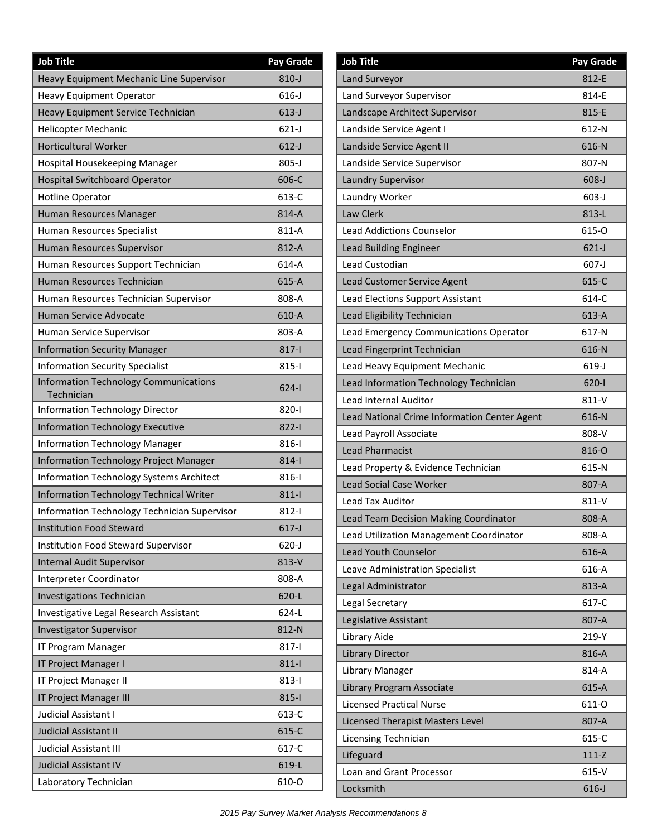| <b>Job Title</b>                                           | <b>Pay Grade</b> |
|------------------------------------------------------------|------------------|
| Heavy Equipment Mechanic Line Supervisor                   | $810-J$          |
| <b>Heavy Equipment Operator</b>                            | $616 - J$        |
| Heavy Equipment Service Technician                         | $613-J$          |
| <b>Helicopter Mechanic</b>                                 | $621-J$          |
| <b>Horticultural Worker</b>                                | $612-J$          |
| Hospital Housekeeping Manager                              | $805 - J$        |
| <b>Hospital Switchboard Operator</b>                       | 606-C            |
| <b>Hotline Operator</b>                                    | 613-C            |
| Human Resources Manager                                    | 814-A            |
| Human Resources Specialist                                 | 811-A            |
| Human Resources Supervisor                                 | 812-A            |
| Human Resources Support Technician                         | 614-A            |
| Human Resources Technician                                 | $615-A$          |
| Human Resources Technician Supervisor                      | 808-A            |
| <b>Human Service Advocate</b>                              | 610-A            |
| Human Service Supervisor                                   | 803-A            |
| <b>Information Security Manager</b>                        | $817 - 1$        |
| <b>Information Security Specialist</b>                     | $815 - 1$        |
| <b>Information Technology Communications</b><br>Technician | $624 - 1$        |
| Information Technology Director                            | $820 - 1$        |
| <b>Information Technology Executive</b>                    | $822 - 1$        |
| <b>Information Technology Manager</b>                      | $816 - 1$        |
| Information Technology Project Manager                     | $814-$           |
| <b>Information Technology Systems Architect</b>            | 816-l            |
| <b>Information Technology Technical Writer</b>             | $811 -$          |
| Information Technology Technician Supervisor               | $812 - 1$        |
| <b>Institution Food Steward</b>                            | $617 - J$        |
| Institution Food Steward Supervisor                        | $620-J$          |
| <b>Internal Audit Supervisor</b>                           | 813-V            |
| Interpreter Coordinator                                    | 808-A            |
| <b>Investigations Technician</b>                           | 620-L            |
| <b>Investigative Legal Research Assistant</b>              | 624-L            |
| <b>Investigator Supervisor</b>                             | 812-N            |
| IT Program Manager                                         | $817 -$          |
| IT Project Manager I                                       | $811 -$          |
| IT Project Manager II                                      | $813 -$          |
| IT Project Manager III                                     | $815 -$          |
| Judicial Assistant I                                       | 613-C            |
| Judicial Assistant II                                      | 615-C            |
| Judicial Assistant III                                     | 617-C            |
| Judicial Assistant IV                                      | 619-L            |
| Laboratory Technician                                      | 610-O            |

| Land Surveyor<br>812-E<br>814-E<br>Land Surveyor Supervisor<br>815-E<br>Landscape Architect Supervisor<br>Landside Service Agent I<br>612-N<br>616-N<br>Landside Service Agent II<br>807-N<br>Landside Service Supervisor<br><b>Laundry Supervisor</b><br>$608 - J$<br>Laundry Worker<br>$603 - J$<br>Law Clerk<br>813-L<br><b>Lead Addictions Counselor</b><br>615-0<br><b>Lead Building Engineer</b><br>$621-J$<br>Lead Custodian<br>$607 - J$<br>615-C<br>Lead Customer Service Agent<br>614-C<br>Lead Elections Support Assistant<br>613-A<br>Lead Eligibility Technician<br>617-N<br>Lead Emergency Communications Operator<br>616-N<br>Lead Fingerprint Technician<br>$619-J$<br>Lead Heavy Equipment Mechanic<br>Lead Information Technology Technician<br>$620 - 1$<br><b>Lead Internal Auditor</b><br>$811-V$<br>616-N<br>Lead National Crime Information Center Agent<br>Lead Payroll Associate<br>808-V<br><b>Lead Pharmacist</b><br>816-O<br>615-N<br>Lead Property & Evidence Technician<br><b>Lead Social Case Worker</b><br>807-A<br><b>Lead Tax Auditor</b><br>$811-V$<br>Lead Team Decision Making Coordinator<br>808-A<br>Lead Utilization Management Coordinator<br>808-A<br>Lead Youth Counselor<br>616-A<br>616-A<br>Leave Administration Specialist<br>813-A<br>Legal Administrator<br>Legal Secretary<br>617-C<br>Legislative Assistant<br>807-A<br>Library Aide<br>219-Y<br><b>Library Director</b><br>816-A<br>814-A<br>Library Manager<br>Library Program Associate<br>$615-A$<br><b>Licensed Practical Nurse</b><br>611-0<br>807-A<br>Licensed Therapist Masters Level<br>615-C<br>Licensing Technician<br>Lifeguard<br>$111-Z$<br>Loan and Grant Processor<br>615-V<br>Locksmith<br>$616 - J$ | <b>Job Title</b> | <b>Pay Grade</b> |
|---------------------------------------------------------------------------------------------------------------------------------------------------------------------------------------------------------------------------------------------------------------------------------------------------------------------------------------------------------------------------------------------------------------------------------------------------------------------------------------------------------------------------------------------------------------------------------------------------------------------------------------------------------------------------------------------------------------------------------------------------------------------------------------------------------------------------------------------------------------------------------------------------------------------------------------------------------------------------------------------------------------------------------------------------------------------------------------------------------------------------------------------------------------------------------------------------------------------------------------------------------------------------------------------------------------------------------------------------------------------------------------------------------------------------------------------------------------------------------------------------------------------------------------------------------------------------------------------------------------------------------------------------------------------------------------------------------------------------|------------------|------------------|
|                                                                                                                                                                                                                                                                                                                                                                                                                                                                                                                                                                                                                                                                                                                                                                                                                                                                                                                                                                                                                                                                                                                                                                                                                                                                                                                                                                                                                                                                                                                                                                                                                                                                                                                           |                  |                  |
|                                                                                                                                                                                                                                                                                                                                                                                                                                                                                                                                                                                                                                                                                                                                                                                                                                                                                                                                                                                                                                                                                                                                                                                                                                                                                                                                                                                                                                                                                                                                                                                                                                                                                                                           |                  |                  |
|                                                                                                                                                                                                                                                                                                                                                                                                                                                                                                                                                                                                                                                                                                                                                                                                                                                                                                                                                                                                                                                                                                                                                                                                                                                                                                                                                                                                                                                                                                                                                                                                                                                                                                                           |                  |                  |
|                                                                                                                                                                                                                                                                                                                                                                                                                                                                                                                                                                                                                                                                                                                                                                                                                                                                                                                                                                                                                                                                                                                                                                                                                                                                                                                                                                                                                                                                                                                                                                                                                                                                                                                           |                  |                  |
|                                                                                                                                                                                                                                                                                                                                                                                                                                                                                                                                                                                                                                                                                                                                                                                                                                                                                                                                                                                                                                                                                                                                                                                                                                                                                                                                                                                                                                                                                                                                                                                                                                                                                                                           |                  |                  |
|                                                                                                                                                                                                                                                                                                                                                                                                                                                                                                                                                                                                                                                                                                                                                                                                                                                                                                                                                                                                                                                                                                                                                                                                                                                                                                                                                                                                                                                                                                                                                                                                                                                                                                                           |                  |                  |
|                                                                                                                                                                                                                                                                                                                                                                                                                                                                                                                                                                                                                                                                                                                                                                                                                                                                                                                                                                                                                                                                                                                                                                                                                                                                                                                                                                                                                                                                                                                                                                                                                                                                                                                           |                  |                  |
|                                                                                                                                                                                                                                                                                                                                                                                                                                                                                                                                                                                                                                                                                                                                                                                                                                                                                                                                                                                                                                                                                                                                                                                                                                                                                                                                                                                                                                                                                                                                                                                                                                                                                                                           |                  |                  |
|                                                                                                                                                                                                                                                                                                                                                                                                                                                                                                                                                                                                                                                                                                                                                                                                                                                                                                                                                                                                                                                                                                                                                                                                                                                                                                                                                                                                                                                                                                                                                                                                                                                                                                                           |                  |                  |
|                                                                                                                                                                                                                                                                                                                                                                                                                                                                                                                                                                                                                                                                                                                                                                                                                                                                                                                                                                                                                                                                                                                                                                                                                                                                                                                                                                                                                                                                                                                                                                                                                                                                                                                           |                  |                  |
|                                                                                                                                                                                                                                                                                                                                                                                                                                                                                                                                                                                                                                                                                                                                                                                                                                                                                                                                                                                                                                                                                                                                                                                                                                                                                                                                                                                                                                                                                                                                                                                                                                                                                                                           |                  |                  |
|                                                                                                                                                                                                                                                                                                                                                                                                                                                                                                                                                                                                                                                                                                                                                                                                                                                                                                                                                                                                                                                                                                                                                                                                                                                                                                                                                                                                                                                                                                                                                                                                                                                                                                                           |                  |                  |
|                                                                                                                                                                                                                                                                                                                                                                                                                                                                                                                                                                                                                                                                                                                                                                                                                                                                                                                                                                                                                                                                                                                                                                                                                                                                                                                                                                                                                                                                                                                                                                                                                                                                                                                           |                  |                  |
|                                                                                                                                                                                                                                                                                                                                                                                                                                                                                                                                                                                                                                                                                                                                                                                                                                                                                                                                                                                                                                                                                                                                                                                                                                                                                                                                                                                                                                                                                                                                                                                                                                                                                                                           |                  |                  |
|                                                                                                                                                                                                                                                                                                                                                                                                                                                                                                                                                                                                                                                                                                                                                                                                                                                                                                                                                                                                                                                                                                                                                                                                                                                                                                                                                                                                                                                                                                                                                                                                                                                                                                                           |                  |                  |
|                                                                                                                                                                                                                                                                                                                                                                                                                                                                                                                                                                                                                                                                                                                                                                                                                                                                                                                                                                                                                                                                                                                                                                                                                                                                                                                                                                                                                                                                                                                                                                                                                                                                                                                           |                  |                  |
|                                                                                                                                                                                                                                                                                                                                                                                                                                                                                                                                                                                                                                                                                                                                                                                                                                                                                                                                                                                                                                                                                                                                                                                                                                                                                                                                                                                                                                                                                                                                                                                                                                                                                                                           |                  |                  |
|                                                                                                                                                                                                                                                                                                                                                                                                                                                                                                                                                                                                                                                                                                                                                                                                                                                                                                                                                                                                                                                                                                                                                                                                                                                                                                                                                                                                                                                                                                                                                                                                                                                                                                                           |                  |                  |
|                                                                                                                                                                                                                                                                                                                                                                                                                                                                                                                                                                                                                                                                                                                                                                                                                                                                                                                                                                                                                                                                                                                                                                                                                                                                                                                                                                                                                                                                                                                                                                                                                                                                                                                           |                  |                  |
|                                                                                                                                                                                                                                                                                                                                                                                                                                                                                                                                                                                                                                                                                                                                                                                                                                                                                                                                                                                                                                                                                                                                                                                                                                                                                                                                                                                                                                                                                                                                                                                                                                                                                                                           |                  |                  |
|                                                                                                                                                                                                                                                                                                                                                                                                                                                                                                                                                                                                                                                                                                                                                                                                                                                                                                                                                                                                                                                                                                                                                                                                                                                                                                                                                                                                                                                                                                                                                                                                                                                                                                                           |                  |                  |
|                                                                                                                                                                                                                                                                                                                                                                                                                                                                                                                                                                                                                                                                                                                                                                                                                                                                                                                                                                                                                                                                                                                                                                                                                                                                                                                                                                                                                                                                                                                                                                                                                                                                                                                           |                  |                  |
|                                                                                                                                                                                                                                                                                                                                                                                                                                                                                                                                                                                                                                                                                                                                                                                                                                                                                                                                                                                                                                                                                                                                                                                                                                                                                                                                                                                                                                                                                                                                                                                                                                                                                                                           |                  |                  |
|                                                                                                                                                                                                                                                                                                                                                                                                                                                                                                                                                                                                                                                                                                                                                                                                                                                                                                                                                                                                                                                                                                                                                                                                                                                                                                                                                                                                                                                                                                                                                                                                                                                                                                                           |                  |                  |
|                                                                                                                                                                                                                                                                                                                                                                                                                                                                                                                                                                                                                                                                                                                                                                                                                                                                                                                                                                                                                                                                                                                                                                                                                                                                                                                                                                                                                                                                                                                                                                                                                                                                                                                           |                  |                  |
|                                                                                                                                                                                                                                                                                                                                                                                                                                                                                                                                                                                                                                                                                                                                                                                                                                                                                                                                                                                                                                                                                                                                                                                                                                                                                                                                                                                                                                                                                                                                                                                                                                                                                                                           |                  |                  |
|                                                                                                                                                                                                                                                                                                                                                                                                                                                                                                                                                                                                                                                                                                                                                                                                                                                                                                                                                                                                                                                                                                                                                                                                                                                                                                                                                                                                                                                                                                                                                                                                                                                                                                                           |                  |                  |
|                                                                                                                                                                                                                                                                                                                                                                                                                                                                                                                                                                                                                                                                                                                                                                                                                                                                                                                                                                                                                                                                                                                                                                                                                                                                                                                                                                                                                                                                                                                                                                                                                                                                                                                           |                  |                  |
|                                                                                                                                                                                                                                                                                                                                                                                                                                                                                                                                                                                                                                                                                                                                                                                                                                                                                                                                                                                                                                                                                                                                                                                                                                                                                                                                                                                                                                                                                                                                                                                                                                                                                                                           |                  |                  |
|                                                                                                                                                                                                                                                                                                                                                                                                                                                                                                                                                                                                                                                                                                                                                                                                                                                                                                                                                                                                                                                                                                                                                                                                                                                                                                                                                                                                                                                                                                                                                                                                                                                                                                                           |                  |                  |
|                                                                                                                                                                                                                                                                                                                                                                                                                                                                                                                                                                                                                                                                                                                                                                                                                                                                                                                                                                                                                                                                                                                                                                                                                                                                                                                                                                                                                                                                                                                                                                                                                                                                                                                           |                  |                  |
|                                                                                                                                                                                                                                                                                                                                                                                                                                                                                                                                                                                                                                                                                                                                                                                                                                                                                                                                                                                                                                                                                                                                                                                                                                                                                                                                                                                                                                                                                                                                                                                                                                                                                                                           |                  |                  |
|                                                                                                                                                                                                                                                                                                                                                                                                                                                                                                                                                                                                                                                                                                                                                                                                                                                                                                                                                                                                                                                                                                                                                                                                                                                                                                                                                                                                                                                                                                                                                                                                                                                                                                                           |                  |                  |
|                                                                                                                                                                                                                                                                                                                                                                                                                                                                                                                                                                                                                                                                                                                                                                                                                                                                                                                                                                                                                                                                                                                                                                                                                                                                                                                                                                                                                                                                                                                                                                                                                                                                                                                           |                  |                  |
|                                                                                                                                                                                                                                                                                                                                                                                                                                                                                                                                                                                                                                                                                                                                                                                                                                                                                                                                                                                                                                                                                                                                                                                                                                                                                                                                                                                                                                                                                                                                                                                                                                                                                                                           |                  |                  |
|                                                                                                                                                                                                                                                                                                                                                                                                                                                                                                                                                                                                                                                                                                                                                                                                                                                                                                                                                                                                                                                                                                                                                                                                                                                                                                                                                                                                                                                                                                                                                                                                                                                                                                                           |                  |                  |
|                                                                                                                                                                                                                                                                                                                                                                                                                                                                                                                                                                                                                                                                                                                                                                                                                                                                                                                                                                                                                                                                                                                                                                                                                                                                                                                                                                                                                                                                                                                                                                                                                                                                                                                           |                  |                  |
|                                                                                                                                                                                                                                                                                                                                                                                                                                                                                                                                                                                                                                                                                                                                                                                                                                                                                                                                                                                                                                                                                                                                                                                                                                                                                                                                                                                                                                                                                                                                                                                                                                                                                                                           |                  |                  |
|                                                                                                                                                                                                                                                                                                                                                                                                                                                                                                                                                                                                                                                                                                                                                                                                                                                                                                                                                                                                                                                                                                                                                                                                                                                                                                                                                                                                                                                                                                                                                                                                                                                                                                                           |                  |                  |
|                                                                                                                                                                                                                                                                                                                                                                                                                                                                                                                                                                                                                                                                                                                                                                                                                                                                                                                                                                                                                                                                                                                                                                                                                                                                                                                                                                                                                                                                                                                                                                                                                                                                                                                           |                  |                  |
|                                                                                                                                                                                                                                                                                                                                                                                                                                                                                                                                                                                                                                                                                                                                                                                                                                                                                                                                                                                                                                                                                                                                                                                                                                                                                                                                                                                                                                                                                                                                                                                                                                                                                                                           |                  |                  |
|                                                                                                                                                                                                                                                                                                                                                                                                                                                                                                                                                                                                                                                                                                                                                                                                                                                                                                                                                                                                                                                                                                                                                                                                                                                                                                                                                                                                                                                                                                                                                                                                                                                                                                                           |                  |                  |
|                                                                                                                                                                                                                                                                                                                                                                                                                                                                                                                                                                                                                                                                                                                                                                                                                                                                                                                                                                                                                                                                                                                                                                                                                                                                                                                                                                                                                                                                                                                                                                                                                                                                                                                           |                  |                  |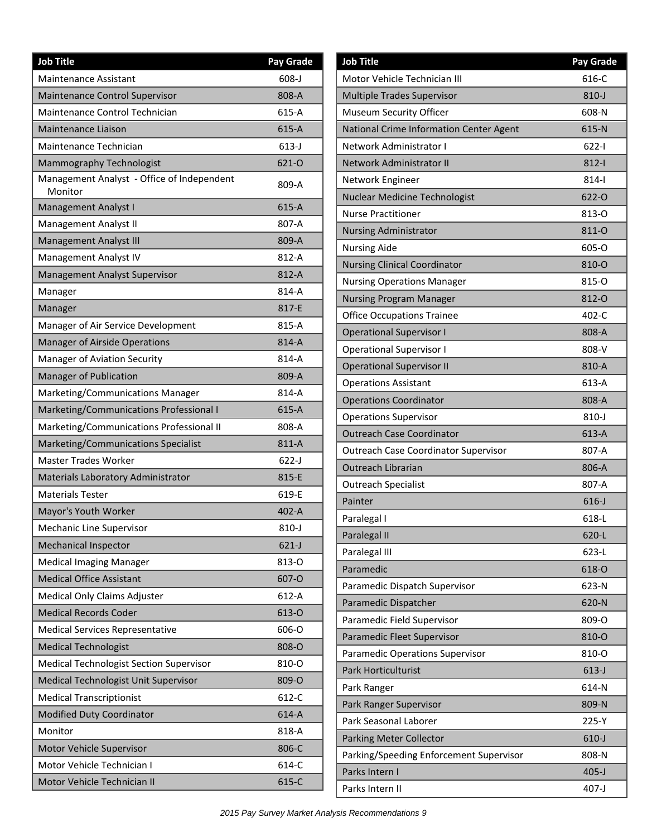| <b>Job Title</b>                                      | <b>Pay Grade</b> |
|-------------------------------------------------------|------------------|
| <b>Maintenance Assistant</b>                          | $608 - J$        |
| Maintenance Control Supervisor                        | 808-A            |
| Maintenance Control Technician                        | 615-A            |
| <b>Maintenance Liaison</b>                            | 615-A            |
| Maintenance Technician                                | $613-J$          |
| Mammography Technologist                              | 621-0            |
| Management Analyst - Office of Independent<br>Monitor | 809-A            |
| Management Analyst I                                  | 615-A            |
| Management Analyst II                                 | 807-A            |
| Management Analyst III                                | 809-A            |
| Management Analyst IV                                 | 812-A            |
| Management Analyst Supervisor                         | 812-A            |
| Manager                                               | 814-A            |
| Manager                                               | 817-E            |
| Manager of Air Service Development                    | 815-A            |
| <b>Manager of Airside Operations</b>                  | 814-A            |
| Manager of Aviation Security                          | 814-A            |
| Manager of Publication                                | 809-A            |
| Marketing/Communications Manager                      | 814-A            |
| Marketing/Communications Professional I               | 615-A            |
| Marketing/Communications Professional II              | 808-A            |
| Marketing/Communications Specialist                   | 811-A            |
| <b>Master Trades Worker</b>                           | $622-J$          |
| Materials Laboratory Administrator                    | 815-E            |
| <b>Materials Tester</b>                               | 619-E            |
| Mayor's Youth Worker                                  | 402-A            |
| Mechanic Line Supervisor                              | $810 - J$        |
| <b>Mechanical Inspector</b>                           | $621-J$          |
| <b>Medical Imaging Manager</b>                        | 813-0            |
| <b>Medical Office Assistant</b>                       | 607-O            |
| Medical Only Claims Adjuster                          | $612-A$          |
| <b>Medical Records Coder</b>                          | 613-0            |
| <b>Medical Services Representative</b>                | 606-O            |
| <b>Medical Technologist</b>                           | 808-O            |
| <b>Medical Technologist Section Supervisor</b>        | 810-O            |
| Medical Technologist Unit Supervisor                  | 809-O            |
| <b>Medical Transcriptionist</b>                       | 612-C            |
| <b>Modified Duty Coordinator</b>                      | 614-A            |
| Monitor                                               | 818-A            |
| Motor Vehicle Supervisor                              | 806-C            |
| Motor Vehicle Technician I                            | 614-C            |
| Motor Vehicle Technician II                           | 615-C            |

| <b>Job Title</b>                            | Pay Grade |
|---------------------------------------------|-----------|
| Motor Vehicle Technician III                | 616-C     |
| <b>Multiple Trades Supervisor</b>           | $810 - J$ |
| Museum Security Officer                     | 608-N     |
| National Crime Information Center Agent     | 615-N     |
| Network Administrator I                     | 622-l     |
| Network Administrator II                    | $812 - 1$ |
| Network Engineer                            | 814-l     |
| <b>Nuclear Medicine Technologist</b>        | 622-0     |
| <b>Nurse Practitioner</b>                   | 813-0     |
| <b>Nursing Administrator</b>                | 811-O     |
| <b>Nursing Aide</b>                         | 605-O     |
| <b>Nursing Clinical Coordinator</b>         | 810-O     |
| <b>Nursing Operations Manager</b>           | 815-O     |
| <b>Nursing Program Manager</b>              | 812-0     |
| <b>Office Occupations Trainee</b>           | 402-C     |
| <b>Operational Supervisor I</b>             | 808-A     |
| <b>Operational Supervisor I</b>             | 808-V     |
| <b>Operational Supervisor II</b>            | 810-A     |
| <b>Operations Assistant</b>                 | 613-A     |
| <b>Operations Coordinator</b>               | 808-A     |
| <b>Operations Supervisor</b>                | $810 - J$ |
| <b>Outreach Case Coordinator</b>            | 613-A     |
| <b>Outreach Case Coordinator Supervisor</b> | 807-A     |
| <b>Outreach Librarian</b>                   | 806-A     |
| <b>Outreach Specialist</b>                  | 807-A     |
| Painter                                     | $616 - J$ |
| Paralegal I                                 | 618-L     |
| Paralegal II                                | 620-L     |
| Paralegal III                               | $623-L$   |
| Paramedic                                   | 618-O     |
| Paramedic Dispatch Supervisor               | 623-N     |
| Paramedic Dispatcher                        | 620-N     |
| Paramedic Field Supervisor                  | 809-O     |
| Paramedic Fleet Supervisor                  | 810-O     |
| Paramedic Operations Supervisor             | 810-O     |
| Park Horticulturist                         | $613-J$   |
| Park Ranger                                 | 614-N     |
| Park Ranger Supervisor                      | 809-N     |
| Park Seasonal Laborer                       | 225-Y     |
| Parking Meter Collector                     | $610-J$   |
| Parking/Speeding Enforcement Supervisor     | 808-N     |
| Parks Intern I                              | $405 - J$ |
| Parks Intern II                             | $407 - J$ |
|                                             |           |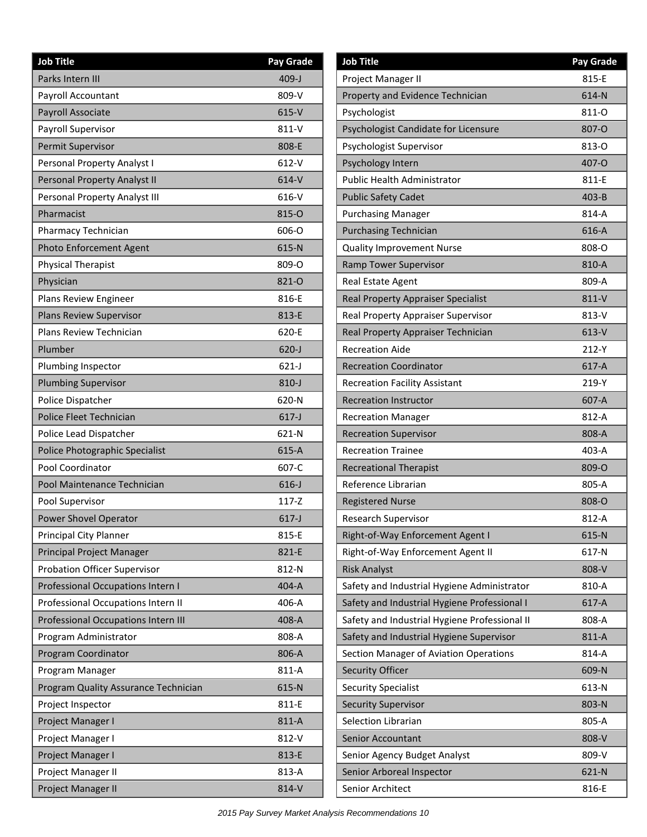| <b>Job Title</b>                           | <b>Pay Grade</b> |
|--------------------------------------------|------------------|
| Parks Intern III                           | $409 - J$        |
| Payroll Accountant                         | 809-V            |
| Payroll Associate                          | $615-V$          |
| Payroll Supervisor                         | 811-V            |
| Permit Supervisor                          | 808-E            |
| Personal Property Analyst I                | $612-Y$          |
| Personal Property Analyst II               | 614-V            |
| Personal Property Analyst III              | $616-Y$          |
| Pharmacist                                 | 815-O            |
| Pharmacy Technician                        | 606-O            |
| Photo Enforcement Agent                    | 615-N            |
| <b>Physical Therapist</b>                  | 809-O            |
| Physician                                  | 821-0            |
| Plans Review Engineer                      | 816-E            |
| <b>Plans Review Supervisor</b>             | 813-E            |
| Plans Review Technician                    | 620-E            |
| Plumber                                    | $620 - J$        |
| Plumbing Inspector                         | $621-J$          |
| <b>Plumbing Supervisor</b>                 | $810 - J$        |
| Police Dispatcher                          | 620-N            |
| Police Fleet Technician                    | $617 - J$        |
| Police Lead Dispatcher                     | 621-N            |
| Police Photographic Specialist             | $615-A$          |
| Pool Coordinator                           | 607-C            |
| Pool Maintenance Technician                | $616 - J$        |
| Pool Supervisor                            | $117 - Z$        |
| Power Shovel Operator                      | $617 - J$        |
| Principal City Planner                     | 815-E            |
| Principal Project Manager                  | 821-E            |
| <b>Probation Officer Supervisor</b>        | 812-N            |
| Professional Occupations Intern I          | 404-A            |
| Professional Occupations Intern II         | 406-A            |
| <b>Professional Occupations Intern III</b> | 408-A            |
| Program Administrator                      | 808-A            |
| <b>Program Coordinator</b>                 | 806-A            |
| Program Manager                            | 811-A            |
| Program Quality Assurance Technician       | 615-N            |
| Project Inspector                          | 811-E            |
| Project Manager I                          | 811-A            |
| Project Manager I                          | 812-V            |
| Project Manager I                          | 813-E            |
| Project Manager II                         | 813-A            |
| Project Manager II                         | 814-V            |

| <b>Job Title</b>                              | Pay Grade |
|-----------------------------------------------|-----------|
| Project Manager II                            | 815-E     |
| Property and Evidence Technician              | 614-N     |
| Psychologist                                  | 811-0     |
| Psychologist Candidate for Licensure          | 807-O     |
| Psychologist Supervisor                       | 813-0     |
| Psychology Intern                             | 407-O     |
| <b>Public Health Administrator</b>            | 811-E     |
| <b>Public Safety Cadet</b>                    | $403 - B$ |
| <b>Purchasing Manager</b>                     | 814-A     |
| <b>Purchasing Technician</b>                  | 616-A     |
| <b>Quality Improvement Nurse</b>              | 808-O     |
| Ramp Tower Supervisor                         | 810-A     |
| Real Estate Agent                             | 809-A     |
| <b>Real Property Appraiser Specialist</b>     | 811-V     |
| Real Property Appraiser Supervisor            | $813-V$   |
| Real Property Appraiser Technician            | $613-V$   |
| <b>Recreation Aide</b>                        | $212-Y$   |
| <b>Recreation Coordinator</b>                 | 617-A     |
| <b>Recreation Facility Assistant</b>          | 219-Y     |
| <b>Recreation Instructor</b>                  | 607-A     |
| <b>Recreation Manager</b>                     | 812-A     |
| <b>Recreation Supervisor</b>                  | 808-A     |
| <b>Recreation Trainee</b>                     | 403-A     |
| <b>Recreational Therapist</b>                 | 809-O     |
| Reference Librarian                           | 805-A     |
| <b>Registered Nurse</b>                       | 808-Q     |
| Research Supervisor                           | 812-A     |
| Right-of-Way Enforcement Agent I              | $615-N$   |
| Right-of-Way Enforcement Agent II             | 617-N     |
| <b>Risk Analyst</b>                           | 808-V     |
| Safety and Industrial Hygiene Administrator   | 810-A     |
| Safety and Industrial Hygiene Professional I  | 617-A     |
| Safety and Industrial Hygiene Professional II | 808-A     |
| Safety and Industrial Hygiene Supervisor      | 811-A     |
| Section Manager of Aviation Operations        | 814-A     |
| <b>Security Officer</b>                       | 609-N     |
| <b>Security Specialist</b>                    | 613-N     |
| <b>Security Supervisor</b>                    | 803-N     |
| Selection Librarian                           | 805-A     |
| Senior Accountant                             | 808-V     |
| Senior Agency Budget Analyst                  | 809-V     |
| Senior Arboreal Inspector                     | 621-N     |
| Senior Architect                              | 816-E     |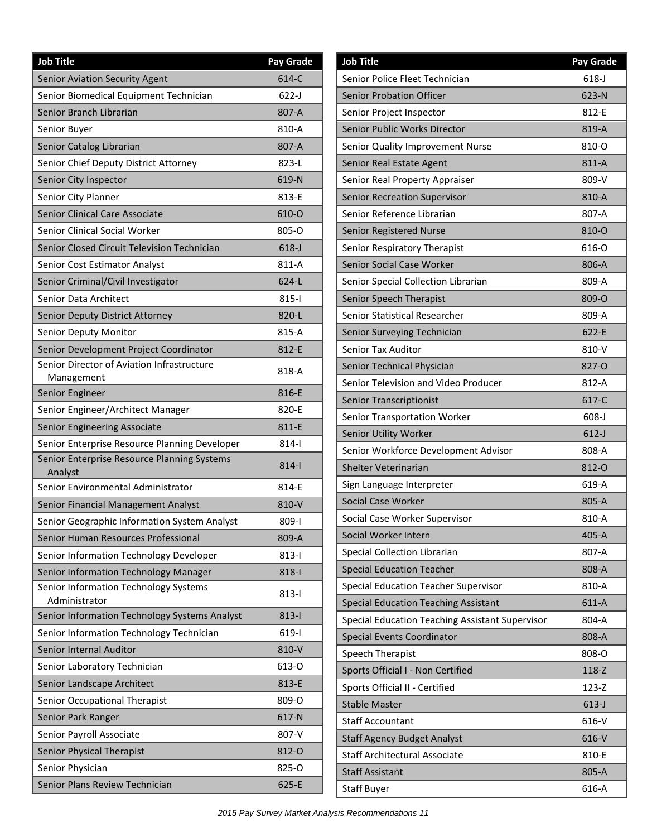| <b>Job Title</b>                                         | <b>Pay Grade</b> |
|----------------------------------------------------------|------------------|
| Senior Aviation Security Agent                           | 614-C            |
| Senior Biomedical Equipment Technician                   | $622-J$          |
| Senior Branch Librarian                                  | 807-A            |
| Senior Buyer                                             | 810-A            |
| Senior Catalog Librarian                                 | 807-A            |
| Senior Chief Deputy District Attorney                    | 823-L            |
| Senior City Inspector                                    | 619-N            |
| Senior City Planner                                      | 813-E            |
| Senior Clinical Care Associate                           | 610-O            |
| <b>Senior Clinical Social Worker</b>                     | 805-0            |
| Senior Closed Circuit Television Technician              | $618 - J$        |
| Senior Cost Estimator Analyst                            | 811-A            |
| Senior Criminal/Civil Investigator                       | $624-L$          |
| <b>Senior Data Architect</b>                             | $815 -$          |
| Senior Deputy District Attorney                          | 820-L            |
| Senior Deputy Monitor                                    | 815-A            |
| Senior Development Project Coordinator                   | 812-E            |
| Senior Director of Aviation Infrastructure<br>Management | 818-A            |
| Senior Engineer                                          | 816-E            |
| Senior Engineer/Architect Manager                        | 820-E            |
| Senior Engineering Associate                             | 811-E            |
| Senior Enterprise Resource Planning Developer            | $814 - 1$        |
| Senior Enterprise Resource Planning Systems<br>Analyst   | $814 -$          |
| Senior Environmental Administrator                       | 814-E            |
| Senior Financial Management Analyst                      | 810-V            |
| Senior Geographic Information System Analyst             | 809-l            |
| Senior Human Resources Professional                      | 809-A            |
| Senior Information Technology Developer                  | $813 - 1$        |
| Senior Information Technology Manager                    | 818-l            |
| Senior Information Technology Systems<br>Administrator   | 813-l            |
| Senior Information Technology Systems Analyst            | $813 -$          |
| Senior Information Technology Technician                 | $619-1$          |
| <b>Senior Internal Auditor</b>                           | 810-V            |
| Senior Laboratory Technician                             | 613-0            |
| Senior Landscape Architect                               | 813-E            |
| Senior Occupational Therapist                            | 809-O            |
| Senior Park Ranger                                       | 617-N            |
| Senior Payroll Associate                                 | 807-V            |
| Senior Physical Therapist                                | 812-0            |
| Senior Physician                                         | 825-0            |
| Senior Plans Review Technician                           | 625-E            |

| <b>Job Title</b>                                | <b>Pay Grade</b> |
|-------------------------------------------------|------------------|
| Senior Police Fleet Technician                  | $618 - J$        |
| <b>Senior Probation Officer</b>                 | 623-N            |
| Senior Project Inspector                        | 812-E            |
| Senior Public Works Director                    | 819-A            |
| Senior Quality Improvement Nurse                | 810-0            |
| Senior Real Estate Agent                        | 811-A            |
| Senior Real Property Appraiser                  | 809-V            |
| Senior Recreation Supervisor                    | 810-A            |
| Senior Reference Librarian                      | 807-A            |
| <b>Senior Registered Nurse</b>                  | 810-0            |
| Senior Respiratory Therapist                    | 616-O            |
| <b>Senior Social Case Worker</b>                | 806-A            |
| Senior Special Collection Librarian             | 809-A            |
| Senior Speech Therapist                         | 809-O            |
| Senior Statistical Researcher                   | 809-A            |
| Senior Surveying Technician                     | 622-E            |
| Senior Tax Auditor                              | 810-V            |
| Senior Technical Physician                      | 827-O            |
| Senior Television and Video Producer            | 812-A            |
| <b>Senior Transcriptionist</b>                  | 617-C            |
| Senior Transportation Worker                    | $608-J$          |
| Senior Utility Worker                           | $612-J$          |
| Senior Workforce Development Advisor            | 808-A            |
| Shelter Veterinarian                            | 812-0            |
| Sign Language Interpreter                       | 619-A            |
| <b>Social Case Worker</b>                       | 805-A            |
| Social Case Worker Supervisor                   | 810-A            |
| Social Worker Intern                            | 405-A            |
| Special Collection Librarian                    | 807-A            |
| <b>Special Education Teacher</b>                | 808-A            |
| <b>Special Education Teacher Supervisor</b>     | 810-A            |
| <b>Special Education Teaching Assistant</b>     | $611-A$          |
| Special Education Teaching Assistant Supervisor | 804-A            |
| <b>Special Events Coordinator</b>               | 808-A            |
| Speech Therapist                                | 808-O            |
| Sports Official I - Non Certified               | $118 - Z$        |
| Sports Official II - Certified                  | 123-Z            |
| <b>Stable Master</b>                            | $613-J$          |
| <b>Staff Accountant</b>                         | 616-V            |
| <b>Staff Agency Budget Analyst</b>              | 616-V            |
| <b>Staff Architectural Associate</b>            | 810-E            |
| <b>Staff Assistant</b>                          | 805-A            |
| <b>Staff Buyer</b>                              | 616-A            |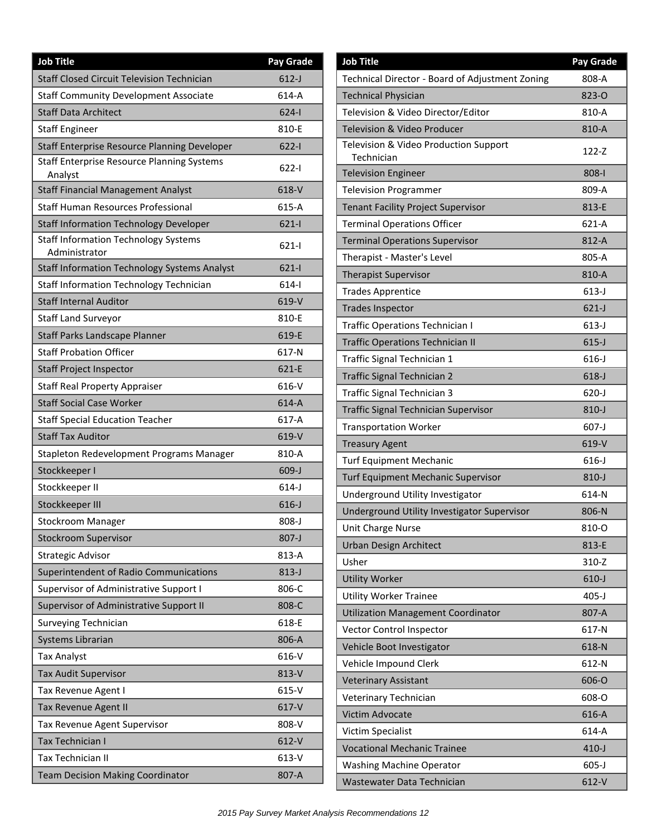| <b>Job Title</b>                                             | Pay Grade |
|--------------------------------------------------------------|-----------|
| <b>Staff Closed Circuit Television Technician</b>            | $612-J$   |
| <b>Staff Community Development Associate</b>                 | 614-A     |
| <b>Staff Data Architect</b>                                  | $624 - 1$ |
| <b>Staff Engineer</b>                                        | 810-E     |
| Staff Enterprise Resource Planning Developer                 | $622 - 1$ |
| <b>Staff Enterprise Resource Planning Systems</b><br>Analyst | 622-l     |
| <b>Staff Financial Management Analyst</b>                    | 618-V     |
| <b>Staff Human Resources Professional</b>                    | 615-A     |
| <b>Staff Information Technology Developer</b>                | $621-1$   |
| <b>Staff Information Technology Systems</b><br>Administrator | $621 - 1$ |
| <b>Staff Information Technology Systems Analyst</b>          | $621 - 1$ |
| Staff Information Technology Technician                      | $614 - 1$ |
| <b>Staff Internal Auditor</b>                                | 619-V     |
| <b>Staff Land Surveyor</b>                                   | 810-E     |
| Staff Parks Landscape Planner                                | 619-E     |
| <b>Staff Probation Officer</b>                               | 617-N     |
| <b>Staff Project Inspector</b>                               | 621-E     |
| <b>Staff Real Property Appraiser</b>                         | 616-V     |
| <b>Staff Social Case Worker</b>                              | 614-A     |
| <b>Staff Special Education Teacher</b>                       | 617-A     |
| <b>Staff Tax Auditor</b>                                     | 619-V     |
| Stapleton Redevelopment Programs Manager                     | 810-A     |
| Stockkeeper I                                                | $609-J$   |
| Stockkeeper II                                               | $614-J$   |
| Stockkeeper III                                              | $616 - J$ |
| Stockroom Manager                                            | $808 - J$ |
| <b>Stockroom Supervisor</b>                                  | $807 - J$ |
| <b>Strategic Advisor</b>                                     | 813-A     |
| Superintendent of Radio Communications                       | $813-J$   |
| Supervisor of Administrative Support I                       | 806-C     |
| Supervisor of Administrative Support II                      | 808-C     |
| <b>Surveying Technician</b>                                  | 618-E     |
| Systems Librarian                                            | 806-A     |
| <b>Tax Analyst</b>                                           | 616-V     |
| <b>Tax Audit Supervisor</b>                                  | 813-V     |
| Tax Revenue Agent I                                          | 615-V     |
| Tax Revenue Agent II                                         | 617-V     |
| Tax Revenue Agent Supervisor                                 | 808-V     |
| Tax Technician I                                             | $612-V$   |
| <b>Tax Technician II</b>                                     | 613-V     |
| <b>Team Decision Making Coordinator</b>                      | 807-A     |

| <b>Job Title</b>                                    | Pay Grade |
|-----------------------------------------------------|-----------|
| Technical Director - Board of Adjustment Zoning     | 808-A     |
| <b>Technical Physician</b>                          | 823-0     |
| Television & Video Director/Editor                  | 810-A     |
| Television & Video Producer                         | 810-A     |
| Television & Video Production Support<br>Technician | 122-Z     |
| <b>Television Engineer</b>                          | 808-l     |
| <b>Television Programmer</b>                        | 809-A     |
| <b>Tenant Facility Project Supervisor</b>           | 813-E     |
| <b>Terminal Operations Officer</b>                  | 621-A     |
| <b>Terminal Operations Supervisor</b>               | 812-A     |
| Therapist - Master's Level                          | 805-A     |
| <b>Therapist Supervisor</b>                         | 810-A     |
| <b>Trades Apprentice</b>                            | $613-J$   |
| <b>Trades Inspector</b>                             | $621-J$   |
| <b>Traffic Operations Technician I</b>              | $613-J$   |
| <b>Traffic Operations Technician II</b>             | $615 - J$ |
| Traffic Signal Technician 1                         | $616 - J$ |
| Traffic Signal Technician 2                         | $618 - J$ |
| Traffic Signal Technician 3                         | 620-J     |
| <b>Traffic Signal Technician Supervisor</b>         | $810 - J$ |
| <b>Transportation Worker</b>                        | $607 - J$ |
| <b>Treasury Agent</b>                               | 619-V     |
| <b>Turf Equipment Mechanic</b>                      | $616 - J$ |
| <b>Turf Equipment Mechanic Supervisor</b>           | $810 - J$ |
| Underground Utility Investigator                    | 614-N     |
| Underground Utility Investigator Supervisor         | 806-N     |
| Unit Charge Nurse                                   | 810-O     |
| Urban Design Architect                              | 813-E     |
| Usher                                               | 310-Z     |
| <b>Utility Worker</b>                               | $610-J$   |
| <b>Utility Worker Trainee</b>                       | $405 - J$ |
| <b>Utilization Management Coordinator</b>           | 807-A     |
| Vector Control Inspector                            | 617-N     |
| Vehicle Boot Investigator                           | 618-N     |
| Vehicle Impound Clerk                               | 612-N     |
| <b>Veterinary Assistant</b>                         | 606-O     |
| Veterinary Technician                               | 608-O     |
| Victim Advocate                                     | 616-A     |
| Victim Specialist                                   | 614-A     |
| <b>Vocational Mechanic Trainee</b>                  | $410 - J$ |
| <b>Washing Machine Operator</b>                     | $605 - J$ |
| Wastewater Data Technician                          | $612-V$   |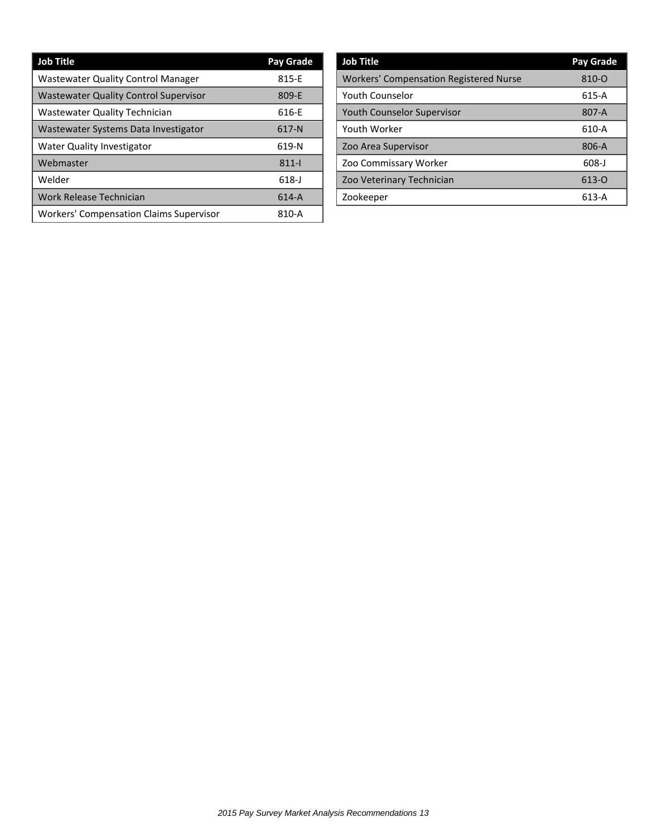| <b>Job Title</b>                               | Pay Grade |
|------------------------------------------------|-----------|
| <b>Wastewater Quality Control Manager</b>      | 815-E     |
| <b>Wastewater Quality Control Supervisor</b>   | 809-E     |
| Wastewater Quality Technician                  | 616-E     |
| Wastewater Systems Data Investigator           | $617-N$   |
| <b>Water Quality Investigator</b>              | 619-N     |
| Webmaster                                      | $811 -$   |
| Welder                                         | $618 - J$ |
| Work Release Technician                        | $614-A$   |
| <b>Workers' Compensation Claims Supervisor</b> | 810-A     |

| <b>Job Title</b>                              | Pay Grade |
|-----------------------------------------------|-----------|
| <b>Workers' Compensation Registered Nurse</b> | 810-0     |
| <b>Youth Counselor</b>                        | 615-A     |
| <b>Youth Counselor Supervisor</b>             | 807-A     |
| Youth Worker                                  | 610-A     |
| Zoo Area Supervisor                           | 806-A     |
| Zoo Commissary Worker                         | $608 - J$ |
| Zoo Veterinary Technician                     | 613-0     |
| Zookeeper                                     | $613-A$   |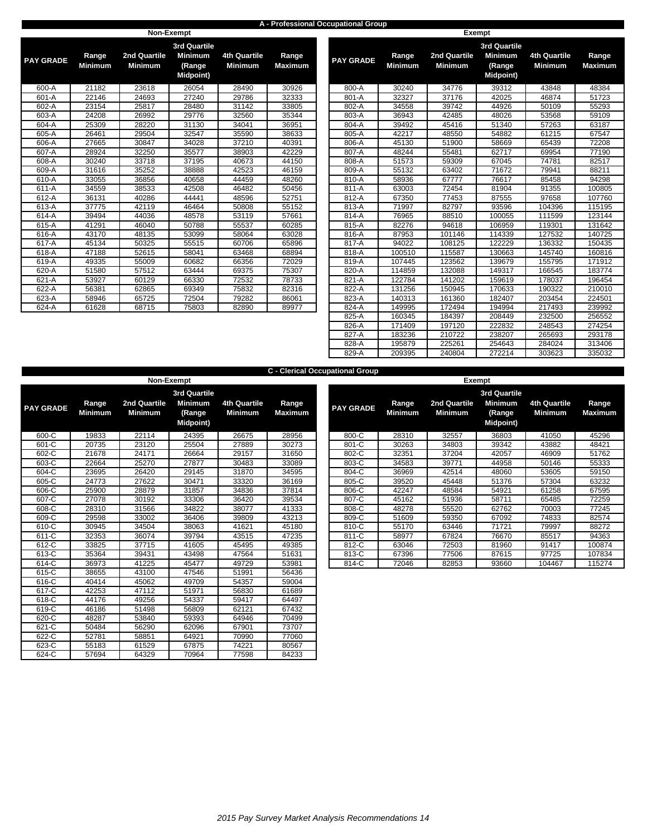### **A - Professional Occupational Group**

|                  |                         |                                | Non-Exempt                                                          |                                       |                         |                  |                         | Exempt                         |              |
|------------------|-------------------------|--------------------------------|---------------------------------------------------------------------|---------------------------------------|-------------------------|------------------|-------------------------|--------------------------------|--------------|
| <b>PAY GRADE</b> | Range<br><b>Minimum</b> | 2nd Quartile<br><b>Minimum</b> | <b>3rd Quartile</b><br><b>Minimum</b><br>(Range<br><b>Midpoint)</b> | <b>4th Quartile</b><br><b>Minimum</b> | Range<br><b>Maximum</b> | <b>PAY GRADE</b> | Range<br><b>Minimum</b> | 2nd Quartile<br><b>Minimum</b> | 3r<br>N<br>N |
| 600-A            | 21182                   | 23618                          | 26054                                                               | 28490                                 | 30926                   | 800-A            | 30240                   | 34776                          |              |
| 601-A            | 22146                   | 24693                          | 27240                                                               | 29786                                 | 32333                   | 801-A            | 32327                   | 37176                          |              |
| 602-A            | 23154                   | 25817                          | 28480                                                               | 31142                                 | 33805                   | 802-A            | 34558                   | 39742                          |              |
| 603-A            | 24208                   | 26992                          | 29776                                                               | 32560                                 | 35344                   | 803-A            | 36943                   | 42485                          |              |
| 604-A            | 25309                   | 28220                          | 31130                                                               | 34041                                 | 36951                   | 804-A            | 39492                   | 45416                          |              |
| 605-A            | 26461                   | 29504                          | 32547                                                               | 35590                                 | 38633                   | 805-A            | 42217                   | 48550                          |              |
| 606-A            | 27665                   | 30847                          | 34028                                                               | 37210                                 | 40391                   | 806-A            | 45130                   | 51900                          |              |
| 607-A            | 28924                   | 32250                          | 35577                                                               | 38903                                 | 42229                   | 807-A            | 48244                   | 55481                          |              |
| 608-A            | 30240                   | 33718                          | 37195                                                               | 40673                                 | 44150                   | 808-A            | 51573                   | 59309                          |              |
| 609-A            | 31616                   | 35252                          | 38888                                                               | 42523                                 | 46159                   | 809-A            | 55132                   | 63402                          |              |
| 610-A            | 33055                   | 36856                          | 40658                                                               | 44459                                 | 48260                   | 810-A            | 58936                   | 67777                          |              |
| $611-A$          | 34559                   | 38533                          | 42508                                                               | 46482                                 | 50456                   | 811-A            | 63003                   | 72454                          |              |
| 612-A            | 36131                   | 40286                          | 44441                                                               | 48596                                 | 52751                   | 812-A            | 67350                   | 77453                          |              |
| 613-A            | 37775                   | 42119                          | 46464                                                               | 50808                                 | 55152                   | 813-A            | 71997                   | 82797                          |              |
| 614-A            | 39494                   | 44036                          | 48578                                                               | 53119                                 | 57661                   | 814-A            | 76965                   | 88510                          |              |
| 615-A            | 41291                   | 46040                          | 50788                                                               | 55537                                 | 60285                   | 815-A            | 82276                   | 94618                          |              |
| 616-A            | 43170                   | 48135                          | 53099                                                               | 58064                                 | 63028                   | 816-A            | 87953                   | 101146                         |              |
| 617-A            | 45134                   | 50325                          | 55515                                                               | 60706                                 | 65896                   | 817-A            | 94022                   | 108125                         |              |
| 618-A            | 47188                   | 52615                          | 58041                                                               | 63468                                 | 68894                   | 818-A            | 100510                  | 115587                         |              |
| 619-A            | 49335                   | 55009                          | 60682                                                               | 66356                                 | 72029                   | 819-A            | 107445                  | 123562                         |              |
| 620-A            | 51580                   | 57512                          | 63444                                                               | 69375                                 | 75307                   | 820-A            | 114859                  | 132088                         |              |
| 621-A            | 53927                   | 60129                          | 66330                                                               | 72532                                 | 78733                   | 821-A            | 122784                  | 141202                         |              |
| 622-A            | 56381                   | 62865                          | 69349                                                               | 75832                                 | 82316                   | 822-A            | 131256                  | 150945                         |              |
| 623-A            | 58946                   | 65725                          | 72504                                                               | 79282                                 | 86061                   | 823-A            | 140313                  | 161360                         |              |
| 624-A            | 61628                   | 68715                          | 75803                                                               | 82890                                 | 89977                   | 824-A            | 149995                  | 172494                         |              |
|                  |                         |                                |                                                                     |                                       |                         |                  |                         |                                |              |

| <b>GRADE</b> | Range<br><b>Minimum</b> | 2nd Quartile<br><b>Minimum</b> | <b>3rd Quartile</b><br><b>Minimum</b><br>(Range<br><b>Midpoint)</b> | 4th Quartile<br><b>Minimum</b> | Range<br><b>Maximum</b> | <b>PAY GRADE</b> | Range<br><b>Minimum</b> | 2nd Quartile<br><b>Minimum</b> | <b>3rd Quartile</b><br><b>Minimum</b><br>(Range<br><b>Midpoint)</b> | <b>4th Quartile</b><br><b>Minimum</b> |  |
|--------------|-------------------------|--------------------------------|---------------------------------------------------------------------|--------------------------------|-------------------------|------------------|-------------------------|--------------------------------|---------------------------------------------------------------------|---------------------------------------|--|
| 600-A        | 21182                   | 23618                          | 26054                                                               | 28490                          | 30926                   | 800-A            | 30240                   | 34776                          | 39312                                                               | 43848                                 |  |
| 601-A        | 22146                   | 24693                          | 27240                                                               | 29786                          | 32333                   | 801-A            | 32327                   | 37176                          | 42025                                                               | 46874                                 |  |
| 602-A        | 23154                   | 25817                          | 28480                                                               | 31142                          | 33805                   | 802-A            | 34558                   | 39742                          | 44926                                                               | 50109                                 |  |
| 603-A        | 24208                   | 26992                          | 29776                                                               | 32560                          | 35344                   | 803-A            | 36943                   | 42485                          | 48026                                                               | 53568                                 |  |
| 604-A        | 25309                   | 28220                          | 31130                                                               | 34041                          | 36951                   | 804-A            | 39492                   | 45416                          | 51340                                                               | 57263                                 |  |
| 605-A        | 26461                   | 29504                          | 32547                                                               | 35590                          | 38633                   | 805-A            | 42217                   | 48550                          | 54882                                                               | 61215                                 |  |
| 606-A        | 27665                   | 30847                          | 34028                                                               | 37210                          | 40391                   | 806-A            | 45130                   | 51900                          | 58669                                                               | 65439                                 |  |
| 607-A        | 28924                   | 32250                          | 35577                                                               | 38903                          | 42229                   | 807-A            | 48244                   | 55481                          | 62717                                                               | 69954                                 |  |
| 608-A        | 30240                   | 33718                          | 37195                                                               | 40673                          | 44150                   | 808-A            | 51573                   | 59309                          | 67045                                                               | 74781                                 |  |
| $609-A$      | 31616                   | 35252                          | 38888                                                               | 42523                          | 46159                   | 809-A            | 55132                   | 63402                          | 71672                                                               | 79941                                 |  |
| 610-A        | 33055                   | 36856                          | 40658                                                               | 44459                          | 48260                   | 810-A            | 58936                   | 67777                          | 76617                                                               | 85458                                 |  |
| 611-A        | 34559                   | 38533                          | 42508                                                               | 46482                          | 50456                   | 811-A            | 63003                   | 72454                          | 81904                                                               | 91355                                 |  |
| $612-A$      | 36131                   | 40286                          | 44441                                                               | 48596                          | 52751                   | 812-A            | 67350                   | 77453                          | 87555                                                               | 97658                                 |  |
| 613-A        | 37775                   | 42119                          | 46464                                                               | 50808                          | 55152                   | 813-A            | 71997                   | 82797                          | 93596                                                               | 104396                                |  |
| 614-A        | 39494                   | 44036                          | 48578                                                               | 53119                          | 57661                   | 814-A            | 76965                   | 88510                          | 100055                                                              | 111599                                |  |
| $615-A$      | 41291                   | 46040                          | 50788                                                               | 55537                          | 60285                   | 815-A            | 82276                   | 94618                          | 106959                                                              | 119301                                |  |
| 616-A        | 43170                   | 48135                          | 53099                                                               | 58064                          | 63028                   | 816-A            | 87953                   | 101146                         | 114339                                                              | 127532                                |  |
| 617-A        | 45134                   | 50325                          | 55515                                                               | 60706                          | 65896                   | 817-A            | 94022                   | 108125                         | 122229                                                              | 136332                                |  |
| $618-A$      | 47188                   | 52615                          | 58041                                                               | 63468                          | 68894                   | 818-A            | 100510                  | 115587                         | 130663                                                              | 145740                                |  |
| 619-A        | 49335                   | 55009                          | 60682                                                               | 66356                          | 72029                   | 819-A            | 107445                  | 123562                         | 139679                                                              | 155795                                |  |
| 620-A        | 51580                   | 57512                          | 63444                                                               | 69375                          | 75307                   | 820-A            | 114859                  | 132088                         | 149317                                                              | 166545                                |  |
| $621-A$      | 53927                   | 60129                          | 66330                                                               | 72532                          | 78733                   | $821 - A$        | 122784                  | 141202                         | 159619                                                              | 178037                                |  |
| 622-A        | 56381                   | 62865                          | 69349                                                               | 75832                          | 82316                   | 822-A            | 131256                  | 150945                         | 170633                                                              | 190322                                |  |
| 623-A        | 58946                   | 65725                          | 72504                                                               | 79282                          | 86061                   | 823-A            | 140313                  | 161360                         | 182407                                                              | 203454                                |  |
| 624-A        | 61628                   | 68715                          | 75803                                                               | 82890                          | 89977                   | 824-A            | 149995                  | 172494                         | 194994                                                              | 217493                                |  |
|              |                         |                                |                                                                     |                                |                         | 825-A            | 160345                  | 184397                         | 208449                                                              | 232500                                |  |
|              |                         |                                |                                                                     |                                |                         | 826-A            | 171409                  | 197120                         | 222832                                                              | 248543                                |  |
|              |                         |                                |                                                                     |                                |                         | 827-A            | 183236                  | 210722                         | 238207                                                              | 265693                                |  |
|              |                         |                                |                                                                     |                                |                         | 828-A            | 195879                  | 225261                         | 254643                                                              | 284024                                |  |
|              |                         |                                |                                                                     |                                |                         | 829-A            | 209395                  | 240804                         | 272214                                                              | 303623                                |  |

|                  |                         |                                |                                               |                                       | <b>C</b> - Clerical Occupational Group |                  |                         |                                |                                               |                                       |                 |
|------------------|-------------------------|--------------------------------|-----------------------------------------------|---------------------------------------|----------------------------------------|------------------|-------------------------|--------------------------------|-----------------------------------------------|---------------------------------------|-----------------|
|                  |                         |                                | Non-Exempt                                    |                                       |                                        |                  |                         |                                | Exempt                                        |                                       |                 |
|                  |                         |                                | <b>3rd Quartile</b>                           |                                       |                                        |                  |                         |                                | <b>3rd Quartile</b>                           |                                       |                 |
| <b>PAY GRADE</b> | Range<br><b>Minimum</b> | 2nd Quartile<br><b>Minimum</b> | <b>Minimum</b><br>(Range<br><b>Midpoint</b> ) | <b>4th Quartile</b><br><b>Minimum</b> | Range<br><b>Maximum</b>                | <b>PAY GRADE</b> | Range<br><b>Minimum</b> | 2nd Quartile<br><b>Minimum</b> | <b>Minimum</b><br>(Range<br><b>Midpoint</b> ) | <b>4th Quartile</b><br><b>Minimum</b> | Range<br>Maximu |
| 600-C            | 19833                   | 22114                          | 24395                                         | 26675                                 | 28956                                  | 800-C            | 28310                   | 32557                          | 36803                                         | 41050                                 | 45296           |
| 601-C            | 20735                   | 23120                          | 25504                                         | 27889                                 | 30273                                  | 801-C            | 30263                   | 34803                          | 39342                                         | 43882                                 | 48421           |
| 602-C            | 21678                   | 24171                          | 26664                                         | 29157                                 | 31650                                  | 802-C            | 32351                   | 37204                          | 42057                                         | 46909                                 | 51762           |
| $603-C$          | 22664                   | 25270                          | 27877                                         | 30483                                 | 33089                                  | 803-C            | 34583                   | 39771                          | 44958                                         | 50146                                 | 55333           |
| 604-C            | 23695                   | 26420                          | 29145                                         | 31870                                 | 34595                                  | 804-C            | 36969                   | 42514                          | 48060                                         | 53605                                 | 59150           |
| 605-C            | 24773                   | 27622                          | 30471                                         | 33320                                 | 36169                                  | 805-C            | 39520                   | 45448                          | 51376                                         | 57304                                 | 63232           |
| 606-C            | 25900                   | 28879                          | 31857                                         | 34836                                 | 37814                                  | 806-C            | 42247                   | 48584                          | 54921                                         | 61258                                 | 67595           |
| 607-C            | 27078                   | 30192                          | 33306                                         | 36420                                 | 39534                                  | 807-C            | 45162                   | 51936                          | 58711                                         | 65485                                 | 72259           |
| 608-C            | 28310                   | 31566                          | 34822                                         | 38077                                 | 41333                                  | 808-C            | 48278                   | 55520                          | 62762                                         | 70003                                 | 77245           |
| 609-C            | 29598                   | 33002                          | 36406                                         | 39809                                 | 43213                                  | 809-C            | 51609                   | 59350                          | 67092                                         | 74833                                 | 82574           |
| 610-C            | 30945                   | 34504                          | 38063                                         | 41621                                 | 45180                                  | 810-C            | 55170                   | 63446                          | 71721                                         | 79997                                 | 88272           |
| $611-C$          | 32353                   | 36074                          | 39794                                         | 43515                                 | 47235                                  | 811-C            | 58977                   | 67824                          | 76670                                         | 85517                                 | 94363           |
| 612-C            | 33825                   | 37715                          | 41605                                         | 45495                                 | 49385                                  | 812-C            | 63046                   | 72503                          | 81960                                         | 91417                                 | 10087           |
| 613-C            | 35364                   | 39431                          | 43498                                         | 47564                                 | 51631                                  | 813-C            | 67396                   | 77506                          | 87615                                         | 97725                                 | 10783           |
| 614-C            | 36973                   | 41225                          | 45477                                         | 49729                                 | 53981                                  | 814-C            | 72046                   | 82853                          | 93660                                         | 104467                                | 11527           |
| 615-C            | 38655                   | 43100                          | 47546                                         | 51991                                 | 56436                                  |                  |                         |                                |                                               |                                       |                 |
| 616-C            | 40414                   | 45062                          | 49709                                         | 54357                                 | 59004                                  |                  |                         |                                |                                               |                                       |                 |
| $617-C$          | 42253                   | 47112                          | 51971                                         | 56830                                 | 61689                                  |                  |                         |                                |                                               |                                       |                 |
| $618-C$          | 44176                   | 49256                          | 54337                                         | 59417                                 | 64497                                  |                  |                         |                                |                                               |                                       |                 |
| 619-C            | 46186                   | 51498                          | 56809                                         | 62121                                 | 67432                                  |                  |                         |                                |                                               |                                       |                 |
| 620-C            | 48287                   | 53840                          | 59393                                         | 64946                                 | 70499                                  |                  |                         |                                |                                               |                                       |                 |
| 621-C            | 50484                   | 56290                          | 62096                                         | 67901                                 | 73707                                  |                  |                         |                                |                                               |                                       |                 |
| 622-C            | 52781                   | 58851                          | 64921                                         | 70990                                 | 77060                                  |                  |                         |                                |                                               |                                       |                 |
| 623-C            | 55183                   | 61529                          | 67875                                         | 74221                                 | 80567                                  |                  |                         |                                |                                               |                                       |                 |
| $624-C$          | 57694                   | 64329                          | 70964                                         | 77598                                 | 84233                                  |                  |                         |                                |                                               |                                       |                 |

|                       |         | Non-Exempt   |                  |              |         |                  |         | Exempt         |                     |              |         |
|-----------------------|---------|--------------|------------------|--------------|---------|------------------|---------|----------------|---------------------|--------------|---------|
|                       |         |              | 3rd Quartile     |              |         |                  |         |                | <b>3rd Quartile</b> |              |         |
| <b><i>( GRADE</i></b> | Range   | 2nd Quartile | <b>Minimum</b>   | 4th Quartile | Range   | <b>PAY GRADE</b> | Range   | 2nd Quartile   | Minimum             | 4th Quartile | Range   |
|                       | Minimum | Minimum      | (Range           | Minimum      | Maximum |                  | Minimum | <b>Minimum</b> | (Range              | Minimum      | Maximum |
|                       |         |              | <b>Midpoint)</b> |              |         |                  |         |                | Midpoint)           |              |         |
| 600-C                 | 19833   | 22114        | 24395            | 26675        | 28956   | 800-C            | 28310   | 32557          | 36803               | 41050        | 45296   |
| 601-C                 | 20735   | 23120        | 25504            | 27889        | 30273   | 801-C            | 30263   | 34803          | 39342               | 43882        | 48421   |
| 602-C                 | 21678   | 24171        | 26664            | 29157        | 31650   | 802-C            | 32351   | 37204          | 42057               | 46909        | 51762   |
| 603-C                 | 22664   | 25270        | 27877            | 30483        | 33089   | 803-C            | 34583   | 39771          | 44958               | 50146        | 55333   |
| 604-C                 | 23695   | 26420        | 29145            | 31870        | 34595   | 804-C            | 36969   | 42514          | 48060               | 53605        | 59150   |
| 605-C                 | 24773   | 27622        | 30471            | 33320        | 36169   | 805-C            | 39520   | 45448          | 51376               | 57304        | 63232   |
| 606-C                 | 25900   | 28879        | 31857            | 34836        | 37814   | 806-C            | 42247   | 48584          | 54921               | 61258        | 67595   |
| 607-C                 | 27078   | 30192        | 33306            | 36420        | 39534   | 807-C            | 45162   | 51936          | 58711               | 65485        | 72259   |
| 608-C                 | 28310   | 31566        | 34822            | 38077        | 41333   | 808-C            | 48278   | 55520          | 62762               | 70003        | 77245   |
| 609-C                 | 29598   | 33002        | 36406            | 39809        | 43213   | 809-C            | 51609   | 59350          | 67092               | 74833        | 82574   |
| 610-C                 | 30945   | 34504        | 38063            | 41621        | 45180   | 810-C            | 55170   | 63446          | 71721               | 79997        | 88272   |
| 611-C                 | 32353   | 36074        | 39794            | 43515        | 47235   | 811-C            | 58977   | 67824          | 76670               | 85517        | 94363   |
| 612-C                 | 33825   | 37715        | 41605            | 45495        | 49385   | 812-C            | 63046   | 72503          | 81960               | 91417        | 100874  |
| 613-C                 | 35364   | 39431        | 43498            | 47564        | 51631   | 813-C            | 67396   | 77506          | 87615               | 97725        | 107834  |
| 614-C                 | 36973   | 41225        | 45477            | 49729        | 53981   | 814-C            | 72046   | 82853          | 93660               | 104467       | 115274  |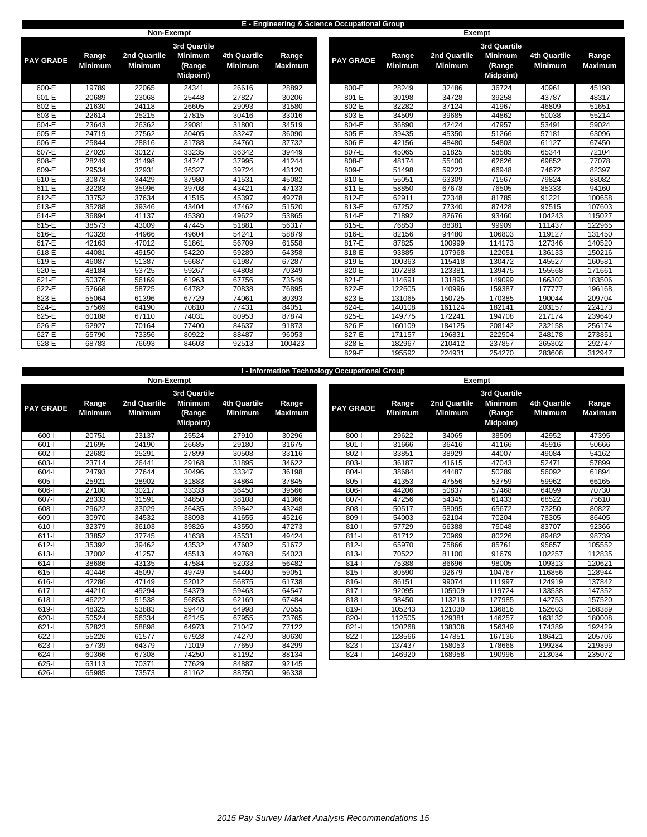### **E - Engineering & Science Occupational Group**

|                  |                         |                                | <b>Non-Exempt</b>                            |                                |                         |                  |                         | <b>Exempt</b>                  |                                              |                                       |                        |
|------------------|-------------------------|--------------------------------|----------------------------------------------|--------------------------------|-------------------------|------------------|-------------------------|--------------------------------|----------------------------------------------|---------------------------------------|------------------------|
|                  |                         |                                | <b>3rd Quartile</b>                          |                                |                         |                  |                         |                                | <b>3rd Quartile</b>                          |                                       |                        |
| <b>PAY GRADE</b> | Range<br><b>Minimum</b> | 2nd Quartile<br><b>Minimum</b> | <b>Minimum</b><br>(Range<br><b>Midpoint)</b> | 4th Quartile<br><b>Minimum</b> | Range<br><b>Maximum</b> | <b>PAY GRADE</b> | Range<br><b>Minimum</b> | 2nd Quartile<br><b>Minimum</b> | <b>Minimum</b><br>(Range<br><b>Midpoint)</b> | <b>4th Quartile</b><br><b>Minimum</b> | Range<br><b>Maximu</b> |
| 600-E            | 19789                   | 22065                          | 24341                                        | 26616                          | 28892                   | 800-E            | 28249                   | 32486                          | 36724                                        | 40961                                 | 45198                  |
| $601-E$          | 20689                   | 23068                          | 25448                                        | 27827                          | 30206                   | $801-E$          | 30198                   | 34728                          | 39258                                        | 43787                                 | 48317                  |
| 602-E            | 21630                   | 24118                          | 26605                                        | 29093                          | 31580                   | 802-E            | 32282                   | 37124                          | 41967                                        | 46809                                 | 51651                  |
| 603-E            | 22614                   | 25215                          | 27815                                        | 30416                          | 33016                   | 803-E            | 34509                   | 39685                          | 44862                                        | 50038                                 | 55214                  |
| 604-E            | 23643                   | 26362                          | 29081                                        | 31800                          | 34519                   | 804-E            | 36890                   | 42424                          | 47957                                        | 53491                                 | 59024                  |
| 605-E            | 24719                   | 27562                          | 30405                                        | 33247                          | 36090                   | 805-E            | 39435                   | 45350                          | 51266                                        | 57181                                 | 63096                  |
| 606-E            | 25844                   | 28816                          | 31788                                        | 34760                          | 37732                   | 806-E            | 42156                   | 48480                          | 54803                                        | 61127                                 | 67450                  |
| 607-E            | 27020                   | 30127                          | 33235                                        | 36342                          | 39449                   | 807-E            | 45065                   | 51825                          | 58585                                        | 65344                                 | 72104                  |
| 608-E            | 28249                   | 31498                          | 34747                                        | 37995                          | 41244                   | 808-E            | 48174                   | 55400                          | 62626                                        | 69852                                 | 77078                  |
| 609-E            | 29534                   | 32931                          | 36327                                        | 39724                          | 43120                   | 809-E            | 51498                   | 59223                          | 66948                                        | 74672                                 | 82397                  |
| 610-E            | 30878                   | 34429                          | 37980                                        | 41531                          | 45082                   | 810-E            | 55051                   | 63309                          | 71567                                        | 79824                                 | 88082                  |
| 611-E            | 32283                   | 35996                          | 39708                                        | 43421                          | 47133                   | 811-E            | 58850                   | 67678                          | 76505                                        | 85333                                 | 94160                  |
| 612-E            | 33752                   | 37634                          | 41515                                        | 45397                          | 49278                   | 812-E            | 62911                   | 72348                          | 81785                                        | 91221                                 | 100658                 |
| 613-E            | 35288                   | 39346                          | 43404                                        | 47462                          | 51520                   | 813-E            | 67252                   | 77340                          | 87428                                        | 97515                                 | 107603                 |
| $614-E$          | 36894                   | 41137                          | 45380                                        | 49622                          | 53865                   | 814-E            | 71892                   | 82676                          | 93460                                        | 104243                                | 115027                 |
| 615-E            | 38573                   | 43009                          | 47445                                        | 51881                          | 56317                   | 815-E            | 76853                   | 88381                          | 99909                                        | 111437                                | 122965                 |
| 616-E            | 40328                   | 44966                          | 49604                                        | 54241                          | 58879                   | 816-E            | 82156                   | 94480                          | 106803                                       | 119127                                | 131450                 |
| $617-E$          | 42163                   | 47012                          | 51861                                        | 56709                          | 61558                   | $817-E$          | 87825                   | 100999                         | 114173                                       | 127346                                | 140520                 |
| 618-E            | 44081                   | 49150                          | 54220                                        | 59289                          | 64358                   | 818-E            | 93885                   | 107968                         | 122051                                       | 136133                                | 150216                 |
| 619-E            | 46087                   | 51387                          | 56687                                        | 61987                          | 67287                   | 819-E            | 100363                  | 115418                         | 130472                                       | 145527                                | 160581                 |
| 620-E            | 48184                   | 53725                          | 59267                                        | 64808                          | 70349                   | 820-E            | 107288                  | 123381                         | 139475                                       | 155568                                | 171661                 |
| $621-E$          | 50376                   | 56169                          | 61963                                        | 67756                          | 73549                   | 821-E            | 114691                  | 131895                         | 149099                                       | 166302                                | 183506                 |
| 622-E            | 52668                   | 58725                          | 64782                                        | 70838                          | 76895                   | 822-E            | 122605                  | 140996                         | 159387                                       | 177777                                | 196168                 |
| 623-E            | 55064                   | 61396                          | 67729                                        | 74061                          | 80393                   | 823-E            | 131065                  | 150725                         | 170385                                       | 190044                                | 209704                 |
| $624-E$          | 57569                   | 64190                          | 70810                                        | 77431                          | 84051                   | 824-E            | 140108                  | 161124                         | 182141                                       | 203157                                | 224173                 |
| 625-E            | 60188                   | 67110                          | 74031                                        | 80953                          | 87874                   | 825-E            | 149775                  | 172241                         | 194708                                       | 217174                                | 239640                 |
| 626-E            | 62927                   | 70164                          | 77400                                        | 84637                          | 91873                   | 826-E            | 160109                  | 184125                         | 208142                                       | 232158                                | 256174                 |
| 627-E            | 65790                   | 73356                          | 80922                                        | 88487                          | 96053                   | 827-E            | 171157                  | 196831                         | 222504                                       | 248178                                | 273851                 |
| $628-E$          | 68783                   | 76693                          | 84603                                        | 92513                          | 100423                  | 828-E            | 182967                  | 210412                         | 237857                                       | 265302                                | 292747                 |

|         |                  |                |                | 3rd Quartile     |                |                |
|---------|------------------|----------------|----------------|------------------|----------------|----------------|
| Range   | <b>PAY GRADE</b> | Range          | 2nd Quartile   | <b>Minimum</b>   | 4th Quartile   | Range          |
| Maximum |                  | <b>Minimum</b> | <b>Minimum</b> | (Range           | <b>Minimum</b> | <b>Maximum</b> |
|         |                  |                |                | <b>Midpoint)</b> |                |                |
| 28892   | 800-E            | 28249          | 32486          | 36724            | 40961          | 45198          |
| 30206   | 801-E            | 30198          | 34728          | 39258            | 43787          | 48317          |
| 31580   | 802-E            | 32282          | 37124          | 41967            | 46809          | 51651          |
| 33016   | 803-E            | 34509          | 39685          | 44862            | 50038          | 55214          |
| 34519   | 804-E            | 36890          | 42424          | 47957            | 53491          | 59024          |
| 36090   | 805-E            | 39435          | 45350          | 51266            | 57181          | 63096          |
| 37732   | 806-E            | 42156          | 48480          | 54803            | 61127          | 67450          |
| 39449   | 807-E            | 45065          | 51825          | 58585            | 65344          | 72104          |
| 41244   | 808-E            | 48174          | 55400          | 62626            | 69852          | 77078          |
| 43120   | 809-E            | 51498          | 59223          | 66948            | 74672          | 82397          |
| 45082   | 810-E            | 55051          | 63309          | 71567            | 79824          | 88082          |
| 47133   | $811-E$          | 58850          | 67678          | 76505            | 85333          | 94160          |
| 49278   | 812-E            | 62911          | 72348          | 81785            | 91221          | 100658         |
| 51520   | 813-E            | 67252          | 77340          | 87428            | 97515          | 107603         |
| 53865   | $814-E$          | 71892          | 82676          | 93460            | 104243         | 115027         |
| 56317   | 815-E            | 76853          | 88381          | 99909            | 111437         | 122965         |
| 58879   | 816-E            | 82156          | 94480          | 106803           | 119127         | 131450         |
| 61558   | 817-E            | 87825          | 100999         | 114173           | 127346         | 140520         |
| 64358   | 818-E            | 93885          | 107968         | 122051           | 136133         | 150216         |
| 67287   | 819-E            | 100363         | 115418         | 130472           | 145527         | 160581         |
| 70349   | 820-E            | 107288         | 123381         | 139475           | 155568         | 171661         |
| 73549   | 821-E            | 114691         | 131895         | 149099           | 166302         | 183506         |
| 76895   | 822-E            | 122605         | 140996         | 159387           | 177777         | 196168         |
| 80393   | 823-E            | 131065         | 150725         | 170385           | 190044         | 209704         |
| 84051   | 824-E            | 140108         | 161124         | 182141           | 203157         | 224173         |
| 87874   | 825-E            | 149775         | 172241         | 194708           | 217174         | 239640         |
| 91873   | 826-E            | 160109         | 184125         | 208142           | 232158         | 256174         |
| 96053   | 827-E            | 171157         | 196831         | 222504           | 248178         | 273851         |
| 100423  | 828-E            | 182967         | 210412         | 237857           | 265302         | 292747         |
|         | 829-E            | 195592         | 224931         | 254270           | 283608         | 312947         |

|                  |                         |                                |                                       |                                |                         | I - Information Technology Occupational Group |                         |                                |                                              |                                       |                 |
|------------------|-------------------------|--------------------------------|---------------------------------------|--------------------------------|-------------------------|-----------------------------------------------|-------------------------|--------------------------------|----------------------------------------------|---------------------------------------|-----------------|
|                  |                         |                                | Non-Exempt                            |                                |                         |                                               |                         |                                | Exempt                                       |                                       |                 |
|                  |                         |                                | 3rd Quartile                          |                                |                         |                                               |                         |                                | <b>3rd Quartile</b>                          |                                       |                 |
| <b>PAY GRADE</b> | Range<br><b>Minimum</b> | 2nd Quartile<br><b>Minimum</b> | <b>Minimum</b><br>(Range<br>Midpoint) | 4th Quartile<br><b>Minimum</b> | Range<br><b>Maximum</b> | <b>PAY GRADE</b>                              | Range<br><b>Minimum</b> | 2nd Quartile<br><b>Minimum</b> | <b>Minimum</b><br>(Range<br><b>Midpoint)</b> | <b>4th Quartile</b><br><b>Minimum</b> | Range<br>Maximu |
| $600 - 1$        | 20751                   | 23137                          | 25524                                 | 27910                          | 30296                   | $800-I$                                       | 29622                   | 34065                          | 38509                                        | 42952                                 | 47395           |
| $601 -$          | 21695                   | 24190                          | 26685                                 | 29180                          | 31675                   | $801 -$                                       | 31666                   | 36416                          | 41166                                        | 45916                                 | 50666           |
| $602 - 1$        | 22682                   | 25291                          | 27899                                 | 30508                          | 33116                   | 802-l                                         | 33851                   | 38929                          | 44007                                        | 49084                                 | 54162           |
| $603-1$          | 23714                   | 26441                          | 29168                                 | 31895                          | 34622                   | 803-l                                         | 36187                   | 41615                          | 47043                                        | 52471                                 | 57899           |
| $604 -$          | 24793                   | 27644                          | 30496                                 | 33347                          | 36198                   | $804 -$                                       | 38684                   | 44487                          | 50289                                        | 56092                                 | 61894           |
| $605 -$          | 25921                   | 28902                          | 31883                                 | 34864                          | 37845                   | $805 -$                                       | 41353                   | 47556                          | 53759                                        | 59962                                 | 66165           |
| 606-l            | 27100                   | 30217                          | 33333                                 | 36450                          | 39566                   | $806-I$                                       | 44206                   | 50837                          | 57468                                        | 64099                                 | 70730           |
| $607 - 1$        | 28333                   | 31591                          | 34850                                 | 38108                          | 41366                   | $807 - 1$                                     | 47256                   | 54345                          | 61433                                        | 68522                                 | 75610           |
| $608 - 1$        | 29622                   | 33029                          | 36435                                 | 39842                          | 43248                   | $808 -$                                       | 50517                   | 58095                          | 65672                                        | 73250                                 | 80827           |
| 609-l            | 30970                   | 34532                          | 38093                                 | 41655                          | 45216                   | 809-l                                         | 54003                   | 62104                          | 70204                                        | 78305                                 | 86405           |
| $610-I$          | 32379                   | 36103                          | 39826                                 | 43550                          | 47273                   | 810-l                                         | 57729                   | 66388                          | 75048                                        | 83707                                 | 92366           |
| $611 -$          | 33852                   | 37745                          | 41638                                 | 45531                          | 49424                   | $811 -$                                       | 61712                   | 70969                          | 80226                                        | 89482                                 | 98739           |
| $612-I$          | 35392                   | 39462                          | 43532                                 | 47602                          | 51672                   | $812-I$                                       | 65970                   | 75866                          | 85761                                        | 95657                                 | 10555           |
| $613 -$          | 37002                   | 41257                          | 45513                                 | 49768                          | 54023                   | $813 -$                                       | 70522                   | 81100                          | 91679                                        | 102257                                | 11283           |
| $614-I$          | 38686                   | 43135                          | 47584                                 | 52033                          | 56482                   | $814 -$                                       | 75388                   | 86696                          | 98005                                        | 109313                                | 12062           |
| $615 -$          | 40446                   | 45097                          | 49749                                 | 54400                          | 59051                   | $815 -$                                       | 80590                   | 92679                          | 104767                                       | 116856                                | 12894           |
| 616-l            | 42286                   | 47149                          | 52012                                 | 56875                          | 61738                   | $816-I$                                       | 86151                   | 99074                          | 111997                                       | 124919                                | 13784           |
| $617 -$          | 44210                   | 49294                          | 54379                                 | 59463                          | 64547                   | $817 -$                                       | 92095                   | 105909                         | 119724                                       | 133538                                | 14735           |
| $618 -$          | 46222                   | 51538                          | 56853                                 | 62169                          | 67484                   | $818 -$                                       | 98450                   | 113218                         | 127985                                       | 142753                                | 15752           |
| $619 -$          | 48325                   | 53883                          | 59440                                 | 64998                          | 70555                   | $819 -$                                       | 105243                  | 121030                         | 136816                                       | 152603                                | 16838           |
| $620 - 1$        | 50524                   | 56334                          | 62145                                 | 67955                          | 73765                   | $820 - 1$                                     | 112505                  | 129381                         | 146257                                       | 163132                                | 18000           |
| $621 -$          | 52823                   | 58898                          | 64973                                 | 71047                          | 77122                   | $821 -$                                       | 120268                  | 138308                         | 156349                                       | 174389                                | 19242           |
| $622 - 1$        | 55226                   | 61577                          | 67928                                 | 74279                          | 80630                   | $822 -$                                       | 128566                  | 147851                         | 167136                                       | 186421                                | 20570           |
| $623 - 1$        | 57739                   | 64379                          | 71019                                 | 77659                          | 84299                   | $823 -$                                       | 137437                  | 158053                         | 178668                                       | 199284                                | 21989           |
| $624 - 1$        | 60366                   | 67308                          | 74250                                 | 81192                          | 88134                   | $824 - 1$                                     | 146920                  | 168958                         | 190996                                       | 213034                                | 23507           |
| $625 -$          | 63113                   | 70371                          | 77629                                 | 84887                          | 92145                   |                                               |                         |                                |                                              |                                       |                 |
| $626 - 1$        | 65985                   | 73573                          | 81162                                 | 88750                          | 96338                   |                                               |                         |                                |                                              |                                       |                 |

|              |                         | <b>NON-EXEMPL</b>              |                                                                     |                                       |                         |                  |                         | ехенірі                        |                                                              |                                |                         |
|--------------|-------------------------|--------------------------------|---------------------------------------------------------------------|---------------------------------------|-------------------------|------------------|-------------------------|--------------------------------|--------------------------------------------------------------|--------------------------------|-------------------------|
| <b>GRADE</b> | Range<br><b>Minimum</b> | 2nd Quartile<br><b>Minimum</b> | <b>3rd Quartile</b><br><b>Minimum</b><br>(Range<br><b>Midpoint)</b> | <b>4th Quartile</b><br><b>Minimum</b> | Range<br><b>Maximum</b> | <b>PAY GRADE</b> | Range<br><b>Minimum</b> | 2nd Quartile<br><b>Minimum</b> | <b>3rd Quartile</b><br><b>Minimum</b><br>(Range<br>Midpoint) | 4th Quartile<br><b>Minimum</b> | Range<br><b>Maximum</b> |
| 600-l        | 20751                   | 23137                          | 25524                                                               | 27910                                 | 30296                   | 800-l            | 29622                   | 34065                          | 38509                                                        | 42952                          | 47395                   |
| $601 -$      | 21695                   | 24190                          | 26685                                                               | 29180                                 | 31675                   | $801 -$          | 31666                   | 36416                          | 41166                                                        | 45916                          | 50666                   |
| 602-l        | 22682                   | 25291                          | 27899                                                               | 30508                                 | 33116                   | 802-l            | 33851                   | 38929                          | 44007                                                        | 49084                          | 54162                   |
| 603-l        | 23714                   | 26441                          | 29168                                                               | 31895                                 | 34622                   | $803 -$          | 36187                   | 41615                          | 47043                                                        | 52471                          | 57899                   |
| 604-l        | 24793                   | 27644                          | 30496                                                               | 33347                                 | 36198                   | $804 -$          | 38684                   | 44487                          | 50289                                                        | 56092                          | 61894                   |
| $605 - 1$    | 25921                   | 28902                          | 31883                                                               | 34864                                 | 37845                   | $805 -$          | 41353                   | 47556                          | 53759                                                        | 59962                          | 66165                   |
| 606-l        | 27100                   | 30217                          | 33333                                                               | 36450                                 | 39566                   | 806-l            | 44206                   | 50837                          | 57468                                                        | 64099                          | 70730                   |
| 607-l        | 28333                   | 31591                          | 34850                                                               | 38108                                 | 41366                   | $807 -$          | 47256                   | 54345                          | 61433                                                        | 68522                          | 75610                   |
| 608-l        | 29622                   | 33029                          | 36435                                                               | 39842                                 | 43248                   | 808-l            | 50517                   | 58095                          | 65672                                                        | 73250                          | 80827                   |
| 609-l        | 30970                   | 34532                          | 38093                                                               | 41655                                 | 45216                   | $809 -$          | 54003                   | 62104                          | 70204                                                        | 78305                          | 86405                   |
| 610-l        | 32379                   | 36103                          | 39826                                                               | 43550                                 | 47273                   | $810 -$          | 57729                   | 66388                          | 75048                                                        | 83707                          | 92366                   |
| $611 -$      | 33852                   | 37745                          | 41638                                                               | 45531                                 | 49424                   | $811 -$          | 61712                   | 70969                          | 80226                                                        | 89482                          | 98739                   |
| $612 -$      | 35392                   | 39462                          | 43532                                                               | 47602                                 | 51672                   | $812 -$          | 65970                   | 75866                          | 85761                                                        | 95657                          | 105552                  |
| 613-l        | 37002                   | 41257                          | 45513                                                               | 49768                                 | 54023                   | 813-l            | 70522                   | 81100                          | 91679                                                        | 102257                         | 112835                  |
| 614-l        | 38686                   | 43135                          | 47584                                                               | 52033                                 | 56482                   | $814 -$          | 75388                   | 86696                          | 98005                                                        | 109313                         | 120621                  |
| $615 -$      | 40446                   | 45097                          | 49749                                                               | 54400                                 | 59051                   | $815 -$          | 80590                   | 92679                          | 104767                                                       | 116856                         | 128944                  |
| 616-l        | 42286                   | 47149                          | 52012                                                               | 56875                                 | 61738                   | $816 -$          | 86151                   | 99074                          | 111997                                                       | 124919                         | 137842                  |
| 617-l        | 44210                   | 49294                          | 54379                                                               | 59463                                 | 64547                   | $817 -$          | 92095                   | 105909                         | 119724                                                       | 133538                         | 147352                  |
| 618-l        | 46222                   | 51538                          | 56853                                                               | 62169                                 | 67484                   | $818 -$          | 98450                   | 113218                         | 127985                                                       | 142753                         | 157520                  |
| $619 - 1$    | 48325                   | 53883                          | 59440                                                               | 64998                                 | 70555                   | 819-l            | 105243                  | 121030                         | 136816                                                       | 152603                         | 168389                  |
| $620 - 1$    | 50524                   | 56334                          | 62145                                                               | 67955                                 | 73765                   | 820-l            | 112505                  | 129381                         | 146257                                                       | 163132                         | 180008                  |
| $621 -$      | 52823                   | 58898                          | 64973                                                               | 71047                                 | 77122                   | $821 -$          | 120268                  | 138308                         | 156349                                                       | 174389                         | 192429                  |
| 622-l        | 55226                   | 61577                          | 67928                                                               | 74279                                 | 80630                   | 822-             | 128566                  | 147851                         | 167136                                                       | 186421                         | 205706                  |
| $623 -$      | 57739                   | 64379                          | 71019                                                               | 77659                                 | 84299                   | $823 -$          | 137437                  | 158053                         | 178668                                                       | 199284                         | 219899                  |
| 624-l        | 60366                   | 67308                          | 74250                                                               | 81192                                 | 88134                   | 824-l            | 146920                  | 168958                         | 190996                                                       | 213034                         | 235072                  |
| 625-l        | 63113                   | 70371                          | 77629                                                               | 84887                                 | 92145                   |                  |                         |                                |                                                              |                                |                         |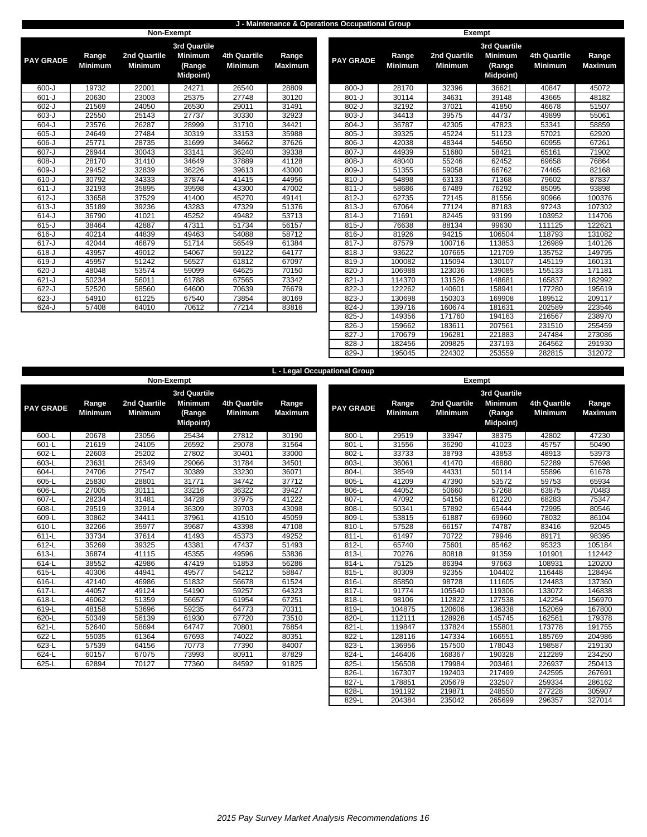### **J - Maintenance & Operations Occupational Group**

|                  |                         | Non-Exempt                     |                                                                     |                                       |                         |                  |                         | Exempt                         |
|------------------|-------------------------|--------------------------------|---------------------------------------------------------------------|---------------------------------------|-------------------------|------------------|-------------------------|--------------------------------|
| <b>PAY GRADE</b> | Range<br><b>Minimum</b> | 2nd Quartile<br><b>Minimum</b> | <b>3rd Quartile</b><br><b>Minimum</b><br>(Range<br><b>Midpoint)</b> | <b>4th Quartile</b><br><b>Minimum</b> | Range<br><b>Maximum</b> | <b>PAY GRADE</b> | Range<br><b>Minimum</b> | 2nd Quartile<br><b>Minimum</b> |
| $600 - J$        | 19732                   | 22001                          | 24271                                                               | 26540                                 | 28809                   | $800 - J$        | 28170                   | 32396                          |
| $601 - J$        | 20630                   | 23003                          | 25375                                                               | 27748                                 | 30120                   | $801 - J$        | 30114                   | 34631                          |
| $602-J$          | 21569                   | 24050                          | 26530                                                               | 29011                                 | 31491                   | $802 - J$        | 32192                   | 37021                          |
| $603 - J$        | 22550                   | 25143                          | 27737                                                               | 30330                                 | 32923                   | $803 - J$        | 34413                   | 39575                          |
| $604 - J$        | 23576                   | 26287                          | 28999                                                               | 31710                                 | 34421                   | $804 - J$        | 36787                   | 42305                          |
| $605 - J$        | 24649                   | 27484                          | 30319                                                               | 33153                                 | 35988                   | $805 - J$        | 39325                   | 45224                          |
| $606 - J$        | 25771                   | 28735                          | 31699                                                               | 34662                                 | 37626                   | $806 - J$        | 42038                   | 48344                          |
| $607 - J$        | 26944                   | 30043                          | 33141                                                               | 36240                                 | 39338                   | $807 - J$        | 44939                   | 51680                          |
| $608 - J$        | 28170                   | 31410                          | 34649                                                               | 37889                                 | 41128                   | $808 - J$        | 48040                   | 55246                          |
| 609-J            | 29452                   | 32839                          | 36226                                                               | 39613                                 | 43000                   | 809-J            | 51355                   | 59058                          |
| $610 - J$        | 30792                   | 34333                          | 37874                                                               | 41415                                 | 44956                   | $810-J$          | 54898                   | 63133                          |
| $611 - J$        | 32193                   | 35895                          | 39598                                                               | 43300                                 | 47002                   | $811 - J$        | 58686                   | 67489                          |
| $612-J$          | 33658                   | 37529                          | 41400                                                               | 45270                                 | 49141                   | $812-J$          | 62735                   | 72145                          |
| $613-J$          | 35189                   | 39236                          | 43283                                                               | 47329                                 | 51376                   | $813 - J$        | 67064                   | 77124                          |
| $614 - J$        | 36790                   | 41021                          | 45252                                                               | 49482                                 | 53713                   | $814-J$          | 71691                   | 82445                          |
| $615-J$          | 38464                   | 42887                          | 47311                                                               | 51734                                 | 56157                   | $815 - J$        | 76638                   | 88134                          |
| $616-J$          | 40214                   | 44839                          | 49463                                                               | 54088                                 | 58712                   | $816 - J$        | 81926                   | 94215                          |
| $617 - J$        | 42044                   | 46879                          | 51714                                                               | 56549                                 | 61384                   | $817 - J$        | 87579                   | 100716                         |
| $618-J$          | 43957                   | 49012                          | 54067                                                               | 59122                                 | 64177                   | $818 - J$        | 93622                   | 107665                         |
| $619-J$          | 45957                   | 51242                          | 56527                                                               | 61812                                 | 67097                   | $819-J$          | 100082                  | 115094                         |
| $620 - J$        | 48048                   | 53574                          | 59099                                                               | 64625                                 | 70150                   | $820 - J$        | 106988                  | 123036                         |
| $621 - J$        | 50234                   | 56011                          | 61788                                                               | 67565                                 | 73342                   | $821 - J$        | 114370                  | 131526                         |
| $622-J$          | 52520                   | 58560                          | 64600                                                               | 70639                                 | 76679                   | 822-J            | 122262                  | 140601                         |
| $623 - J$        | 54910                   | 61225                          | 67540                                                               | 73854                                 | 80169                   | 823-J            | 130698                  | 150303                         |
| $624 - J$        | 57408                   | 64010                          | 70612                                                               | 77214                                 | 83816                   | 824-J            | 139716                  | 160674                         |

|              |                         |                                |                                                              |                                | $-$<br>3rd Quartile<br>Range |                  |                         |                                |                                              |                                |  |
|--------------|-------------------------|--------------------------------|--------------------------------------------------------------|--------------------------------|------------------------------|------------------|-------------------------|--------------------------------|----------------------------------------------|--------------------------------|--|
| <b>GRADE</b> | Range<br><b>Minimum</b> | 2nd Quartile<br><b>Minimum</b> | 3rd Quartile<br><b>Minimum</b><br>(Range<br><b>Midpoint)</b> | 4th Quartile<br><b>Minimum</b> | Range<br><b>Maximum</b>      | <b>PAY GRADE</b> | Range<br><b>Minimum</b> | 2nd Quartile<br><b>Minimum</b> | <b>Minimum</b><br>(Range<br><b>Midpoint)</b> | 4th Quartile<br><b>Minimum</b> |  |
| 600-J        | 19732                   | 22001                          | 24271                                                        | 26540                          | 28809                        | $800 - J$        | 28170                   | 32396                          | 36621                                        | 40847                          |  |
| 601-J        | 20630                   | 23003                          | 25375                                                        | 27748                          | 30120                        | $801-J$          | 30114                   | 34631                          | 39148                                        | 43665                          |  |
| 602-J        | 21569                   | 24050                          | 26530                                                        | 29011                          | 31491                        | $802-J$          | 32192                   | 37021                          | 41850                                        | 46678                          |  |
| 603-J        | 22550                   | 25143                          | 27737                                                        | 30330                          | 32923                        | $803-J$          | 34413                   | 39575                          | 44737                                        | 49899                          |  |
| 604-J        | 23576                   | 26287                          | 28999                                                        | 31710                          | 34421                        | $804-J$          | 36787                   | 42305                          | 47823                                        | 53341                          |  |
| 605-J        | 24649                   | 27484                          | 30319                                                        | 33153                          | 35988                        | $805 - J$        | 39325                   | 45224                          | 51123                                        | 57021                          |  |
| 606-J        | 25771                   | 28735                          | 31699                                                        | 34662                          | 37626                        | $806 - J$        | 42038                   | 48344                          | 54650                                        | 60955                          |  |
| 607-J        | 26944                   | 30043                          | 33141                                                        | 36240                          | 39338                        | $807 - J$        | 44939                   | 51680                          | 58421                                        | 65161                          |  |
| $608 - J$    | 28170                   | 31410                          | 34649                                                        | 37889                          | 41128                        | $808-J$          | 48040                   | 55246                          | 62452                                        | 69658                          |  |
| 609-J        | 29452                   | 32839                          | 36226                                                        | 39613                          | 43000                        | $809-J$          | 51355                   | 59058                          | 66762                                        | 74465                          |  |
| 610-J        | 30792                   | 34333                          | 37874                                                        | 41415                          | 44956                        | $810 - J$        | 54898                   | 63133                          | 71368                                        | 79602                          |  |
| $611 - J$    | 32193                   | 35895                          | 39598                                                        | 43300                          | 47002                        | $811-J$          | 58686                   | 67489                          | 76292                                        | 85095                          |  |
| $612-J$      | 33658                   | 37529                          | 41400                                                        | 45270                          | 49141                        | $812-J$          | 62735                   | 72145                          | 81556                                        | 90966                          |  |
| 613-J        | 35189                   | 39236                          | 43283                                                        | 47329                          | 51376                        | $813-J$          | 67064                   | 77124                          | 87183                                        | 97243                          |  |
| 614-J        | 36790                   | 41021                          | 45252                                                        | 49482                          | 53713                        | $814-J$          | 71691                   | 82445                          | 93199                                        | 103952                         |  |
| 615-J        | 38464                   | 42887                          | 47311                                                        | 51734                          | 56157                        | $815 - J$        | 76638                   | 88134                          | 99630                                        | 111125                         |  |
| $616 - J$    | 40214                   | 44839                          | 49463                                                        | 54088                          | 58712                        | $816 - J$        | 81926                   | 94215                          | 106504                                       | 118793                         |  |
| 617-J        | 42044                   | 46879                          | 51714                                                        | 56549                          | 61384                        | $817 - J$        | 87579                   | 100716                         | 113853                                       | 126989                         |  |
| 618-J        | 43957                   | 49012                          | 54067                                                        | 59122                          | 64177                        | $818-J$          | 93622                   | 107665                         | 121709                                       | 135752                         |  |
| 619-J        | 45957                   | 51242                          | 56527                                                        | 61812                          | 67097                        | 819-J            | 100082                  | 115094                         | 130107                                       | 145119                         |  |
| 620-J        | 48048                   | 53574                          | 59099                                                        | 64625                          | 70150                        | $820 - J$        | 106988                  | 123036                         | 139085                                       | 155133                         |  |
| 621-J        | 50234                   | 56011                          | 61788                                                        | 67565                          | 73342                        | $821 - J$        | 114370                  | 131526                         | 148681                                       | 165837                         |  |
| 622-J        | 52520                   | 58560                          | 64600                                                        | 70639                          | 76679                        | $822 - J$        | 122262                  | 140601                         | 158941                                       | 177280                         |  |
| 623-J        | 54910                   | 61225                          | 67540                                                        | 73854                          | 80169                        | 823-J            | 130698                  | 150303                         | 169908                                       | 189512                         |  |
| $624 - J$    | 57408                   | 64010                          | 70612                                                        | 77214                          | 83816                        | $824-J$          | 139716                  | 160674                         | 181631                                       | 202589                         |  |
|              |                         |                                |                                                              |                                |                              | $825 - J$        | 149356                  | 171760                         | 194163                                       | 216567                         |  |
|              |                         |                                |                                                              |                                |                              | $826 - J$        | 159662                  | 183611                         | 207561                                       | 231510                         |  |
|              |                         |                                |                                                              |                                |                              | $827 - J$        | 170679                  | 196281                         | 221883                                       | 247484                         |  |
|              |                         |                                |                                                              |                                |                              | 828-J            | 182456                  | 209825                         | 237193                                       | 264562                         |  |
|              |                         |                                |                                                              |                                |                              | 829-J            | 195045                  | 224302                         | 253559                                       | 282815                         |  |

|                  |                         |                                |                                                                      |                                |                         | L - Legal Occupational Group |                         |                                |
|------------------|-------------------------|--------------------------------|----------------------------------------------------------------------|--------------------------------|-------------------------|------------------------------|-------------------------|--------------------------------|
|                  |                         | Non-Exempt                     |                                                                      |                                |                         |                              |                         | Exempt                         |
| <b>PAY GRADE</b> | Range<br><b>Minimum</b> | 2nd Quartile<br><b>Minimum</b> | <b>3rd Quartile</b><br><b>Minimum</b><br>(Range<br><b>Midpoint</b> ) | 4th Quartile<br><b>Minimum</b> | Range<br><b>Maximum</b> | <b>PAY GRADE</b>             | Range<br><b>Minimum</b> | 2nd Quartile<br><b>Minimum</b> |
| $600 - L$        | 20678                   | 23056                          | 25434                                                                | 27812                          | 30190                   | 800-L                        | 29519                   | 33947                          |
| 601-L            | 21619                   | 24105                          | 26592                                                                | 29078                          | 31564                   | 801-L                        | 31556                   | 36290                          |
| 602-L            | 22603                   | 25202                          | 27802                                                                | 30401                          | 33000                   | 802-L                        | 33733                   | 38793                          |
| 603-L            | 23631                   | 26349                          | 29066                                                                | 31784                          | 34501                   | 803-L                        | 36061                   | 41470                          |
| 604-L            | 24706                   | 27547                          | 30389                                                                | 33230                          | 36071                   | 804-L                        | 38549                   | 44331                          |
| 605-L            | 25830                   | 28801                          | 31771                                                                | 34742                          | 37712                   | 805-L                        | 41209                   | 47390                          |
| 606-L            | 27005                   | 30111                          | 33216                                                                | 36322                          | 39427                   | 806-L                        | 44052                   | 50660                          |
| 607-L            | 28234                   | 31481                          | 34728                                                                | 37975                          | 41222                   | 807-L                        | 47092                   | 54156                          |
| 608-L            | 29519                   | 32914                          | 36309                                                                | 39703                          | 43098                   | 808-L                        | 50341                   | 57892                          |
| 609-L            | 30862                   | 34411                          | 37961                                                                | 41510                          | 45059                   | 809-L                        | 53815                   | 61887                          |
| 610-L            | 32266                   | 35977                          | 39687                                                                | 43398                          | 47108                   | 810-L                        | 57528                   | 66157                          |
| $611-L$          | 33734                   | 37614                          | 41493                                                                | 45373                          | 49252                   | 811-L                        | 61497                   | 70722                          |
| 612-L            | 35269                   | 39325                          | 43381                                                                | 47437                          | 51493                   | 812-L                        | 65740                   | 75601                          |
| 613-L            | 36874                   | 41115                          | 45355                                                                | 49596                          | 53836                   | 813-L                        | 70276                   | 80818                          |
| 614-L            | 38552                   | 42986                          | 47419                                                                | 51853                          | 56286                   | 814-L                        | 75125                   | 86394                          |
| $615-L$          | 40306                   | 44941                          | 49577                                                                | 54212                          | 58847                   | $815-L$                      | 80309                   | 92355                          |
| $616-L$          | 42140                   | 46986                          | 51832                                                                | 56678                          | 61524                   | $816-L$                      | 85850                   | 98728                          |
| $617-L$          | 44057                   | 49124                          | 54190                                                                | 59257                          | 64323                   | 817-L                        | 91774                   | 105540                         |
| 618-L            | 46062                   | 51359                          | 56657                                                                | 61954                          | 67251                   | 818-L                        | 98106                   | 112822                         |
| 619-L            | 48158                   | 53696                          | 59235                                                                | 64773                          | 70311                   | 819-L                        | 104875                  | 120606                         |
| $620 - L$        | 50349                   | 56139                          | 61930                                                                | 67720                          | 73510                   | 820-L                        | 112111                  | 128928                         |
| $621-L$          | 52640                   | 58694                          | 64747                                                                | 70801                          | 76854                   | 821-L                        | 119847                  | 137824                         |
| 622-L            | 55035                   | 61364                          | 67693                                                                | 74022                          | 80351                   | 822-L                        | 128116                  | 147334                         |
| 623-L            | 57539                   | 64156                          | 70773                                                                | 77390                          | 84007                   | 823-L                        | 136956                  | 157500                         |
| 624-L            | 60157                   | 67075                          | 73993                                                                | 80911                          | 87829                   | 824-L                        | 146406                  | 168367                         |
| 625-L            | 62894                   | 70127                          | 77360                                                                | 84592                          | 91825                   | 825-L                        | 156508                  | 179984                         |

|                     |                         | Non-Exempt                     |                                                                     |                                       |                         |                  |                         | <b>Exempt</b>                  |                                                               |                                       |                         |
|---------------------|-------------------------|--------------------------------|---------------------------------------------------------------------|---------------------------------------|-------------------------|------------------|-------------------------|--------------------------------|---------------------------------------------------------------|---------------------------------------|-------------------------|
| <b><i>SRADE</i></b> | Range<br><b>Minimum</b> | 2nd Quartile<br><b>Minimum</b> | <b>3rd Quartile</b><br><b>Minimum</b><br>(Range<br><b>Midpoint)</b> | <b>4th Quartile</b><br><b>Minimum</b> | Range<br><b>Maximum</b> | <b>PAY GRADE</b> | Range<br><b>Minimum</b> | 2nd Quartile<br><b>Minimum</b> | 3rd Quartile<br><b>Minimum</b><br>(Range<br><b>Midpoint</b> ) | <b>4th Quartile</b><br><b>Minimum</b> | Range<br><b>Maximum</b> |
| 600-L               | 20678                   | 23056                          | 25434                                                               | 27812                                 | 30190                   | 800-L            | 29519                   | 33947                          | 38375                                                         | 42802                                 | 47230                   |
| $601-L$             | 21619                   | 24105                          | 26592                                                               | 29078                                 | 31564                   | $801-L$          | 31556                   | 36290                          | 41023                                                         | 45757                                 | 50490                   |
| $602 - L$           | 22603                   | 25202                          | 27802                                                               | 30401                                 | 33000                   | 802-L            | 33733                   | 38793                          | 43853                                                         | 48913                                 | 53973                   |
| $603-L$             | 23631                   | 26349                          | 29066                                                               | 31784                                 | 34501                   | 803-L            | 36061                   | 41470                          | 46880                                                         | 52289                                 | 57698                   |
| $604 - L$           | 24706                   | 27547                          | 30389                                                               | 33230                                 | 36071                   | 804-L            | 38549                   | 44331                          | 50114                                                         | 55896                                 | 61678                   |
| $605-L$             | 25830                   | 28801                          | 31771                                                               | 34742                                 | 37712                   | 805-L            | 41209                   | 47390                          | 53572                                                         | 59753                                 | 65934                   |
| 606-L               | 27005                   | 30111                          | 33216                                                               | 36322                                 | 39427                   | 806-L            | 44052                   | 50660                          | 57268                                                         | 63875                                 | 70483                   |
| $607 - L$           | 28234                   | 31481                          | 34728                                                               | 37975                                 | 41222                   | 807-L            | 47092                   | 54156                          | 61220                                                         | 68283                                 | 75347                   |
| 608-L               | 29519                   | 32914                          | 36309                                                               | 39703                                 | 43098                   | 808-L            | 50341                   | 57892                          | 65444                                                         | 72995                                 | 80546                   |
| 609-L               | 30862                   | 34411                          | 37961                                                               | 41510                                 | 45059                   | 809-L            | 53815                   | 61887                          | 69960                                                         | 78032                                 | 86104                   |
| 610-L               | 32266                   | 35977                          | 39687                                                               | 43398                                 | 47108                   | 810-L            | 57528                   | 66157                          | 74787                                                         | 83416                                 | 92045                   |
| $611-L$             | 33734                   | 37614                          | 41493                                                               | 45373                                 | 49252                   | $811 - L$        | 61497                   | 70722                          | 79946                                                         | 89171                                 | 98395                   |
| $612-L$             | 35269                   | 39325                          | 43381                                                               | 47437                                 | 51493                   | 812-L            | 65740                   | 75601                          | 85462                                                         | 95323                                 | 105184                  |
| $613-L$             | 36874                   | 41115                          | 45355                                                               | 49596                                 | 53836                   | 813-L            | 70276                   | 80818                          | 91359                                                         | 101901                                | 112442                  |
| $614-L$             | 38552                   | 42986                          | 47419                                                               | 51853                                 | 56286                   | 814-L            | 75125                   | 86394                          | 97663                                                         | 108931                                | 120200                  |
| 615-L               | 40306                   | 44941                          | 49577                                                               | 54212                                 | 58847                   | 815-L            | 80309                   | 92355                          | 104402                                                        | 116448                                | 128494                  |
| $616-L$             | 42140                   | 46986                          | 51832                                                               | 56678                                 | 61524                   | 816-L            | 85850                   | 98728                          | 111605                                                        | 124483                                | 137360                  |
| $617 - L$           | 44057                   | 49124                          | 54190                                                               | 59257                                 | 64323                   | 817-L            | 91774                   | 105540                         | 119306                                                        | 133072                                | 146838                  |
| $618-L$             | 46062                   | 51359                          | 56657                                                               | 61954                                 | 67251                   | 818-L            | 98106                   | 112822                         | 127538                                                        | 142254                                | 156970                  |
| $619 - L$           | 48158                   | 53696                          | 59235                                                               | 64773                                 | 70311                   | 819-L            | 104875                  | 120606                         | 136338                                                        | 152069                                | 167800                  |
| $620 - L$           | 50349                   | 56139                          | 61930                                                               | 67720                                 | 73510                   | 820-L            | 112111                  | 128928                         | 145745                                                        | 162561                                | 179378                  |
| 621-L               | 52640                   | 58694                          | 64747                                                               | 70801                                 | 76854                   | 821-L            | 119847                  | 137824                         | 155801                                                        | 173778                                | 191755                  |
| $622 - L$           | 55035                   | 61364                          | 67693                                                               | 74022                                 | 80351                   | 822-L            | 128116                  | 147334                         | 166551                                                        | 185769                                | 204986                  |
| 623-L               | 57539                   | 64156                          | 70773                                                               | 77390                                 | 84007                   | 823-L            | 136956                  | 157500                         | 178043                                                        | 198587                                | 219130                  |
| 624-L               | 60157                   | 67075                          | 73993                                                               | 80911                                 | 87829                   | 824-L            | 146406                  | 168367                         | 190328                                                        | 212289                                | 234250                  |
| $625-L$             | 62894                   | 70127                          | 77360                                                               | 84592                                 | 91825                   | 825-L            | 156508                  | 179984                         | 203461                                                        | 226937                                | 250413                  |
|                     |                         |                                |                                                                     |                                       |                         | 826-L            | 167307                  | 192403                         | 217499                                                        | 242595                                | 267691                  |
|                     |                         |                                |                                                                     |                                       |                         | 827-L            | 178851                  | 205679                         | 232507                                                        | 259334                                | 286162                  |
|                     |                         |                                |                                                                     |                                       |                         | 828-L            | 191192                  | 219871                         | 248550                                                        | 277228                                | 305907                  |
|                     |                         |                                |                                                                     |                                       |                         | 829-L            | 204384                  | 235042                         | 265699                                                        | 296357                                | 327014                  |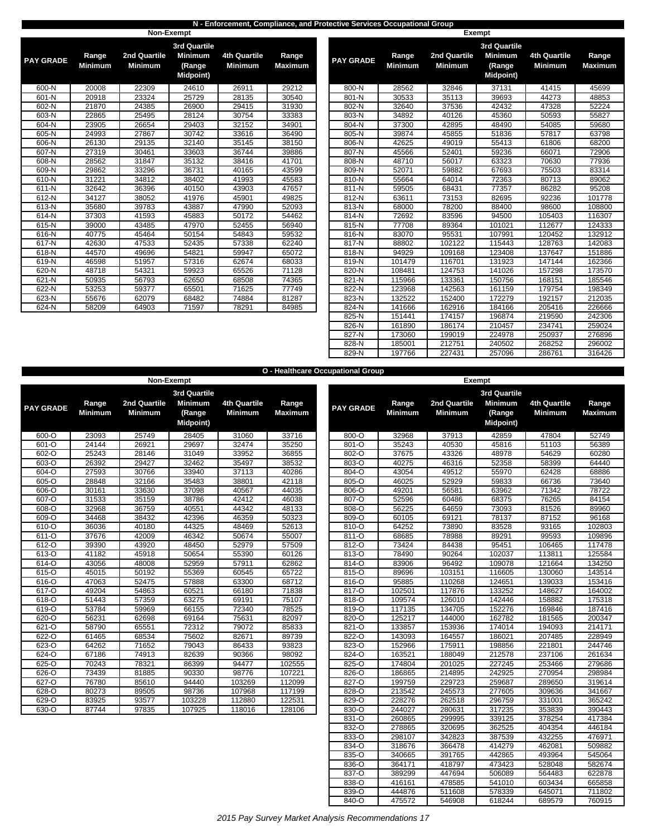## **N - Enforcement, Compliance, and Protective Services Occupational Group**

|                  |                         | Non-Exempt                     |                                                                     |                                |                         |                  |                         |                                | Exempt  |
|------------------|-------------------------|--------------------------------|---------------------------------------------------------------------|--------------------------------|-------------------------|------------------|-------------------------|--------------------------------|---------|
| <b>PAY GRADE</b> | Range<br><b>Minimum</b> | 2nd Quartile<br><b>Minimum</b> | <b>3rd Quartile</b><br><b>Minimum</b><br>(Range<br><b>Midpoint)</b> | 4th Quartile<br><b>Minimum</b> | Range<br><b>Maximum</b> | <b>PAY GRADE</b> | Range<br><b>Minimum</b> | 2nd Quartile<br><b>Minimum</b> | 3r<br>N |
| 600-N            | 20008                   | 22309                          | 24610                                                               | 26911                          | 29212                   | 800-N            | 28562                   | 32846                          |         |
| 601-N            | 20918                   | 23324                          | 25729                                                               | 28135                          | 30540                   | 801-N            | 30533                   | 35113                          |         |
| 602-N            | 21870                   | 24385                          | 26900                                                               | 29415                          | 31930                   | 802-N            | 32640                   | 37536                          |         |
| 603-N            | 22865                   | 25495                          | 28124                                                               | 30754                          | 33383                   | 803-N            | 34892                   | 40126                          |         |
| 604-N            | 23905                   | 26654                          | 29403                                                               | 32152                          | 34901                   | 804-N            | 37300                   | 42895                          |         |
| 605-N            | 24993                   | 27867                          | 30742                                                               | 33616                          | 36490                   | 805-N            | 39874                   | 45855                          |         |
| 606-N            | 26130                   | 29135                          | 32140                                                               | 35145                          | 38150                   | 806-N            | 42625                   | 49019                          |         |
| 607-N            | 27319                   | 30461                          | 33603                                                               | 36744                          | 39886                   | 807-N            | 45566                   | 52401                          |         |
| 608-N            | 28562                   | 31847                          | 35132                                                               | 38416                          | 41701                   | 808-N            | 48710                   | 56017                          |         |
| 609-N            | 29862                   | 33296                          | 36731                                                               | 40165                          | 43599                   | 809-N            | 52071                   | 59882                          |         |
| 610-N            | 31221                   | 34812                          | 38402                                                               | 41993                          | 45583                   | 810-N            | 55664                   | 64014                          |         |
| $611-N$          | 32642                   | 36396                          | 40150                                                               | 43903                          | 47657                   | 811-N            | 59505                   | 68431                          |         |
| 612-N            | 34127                   | 38052                          | 41976                                                               | 45901                          | 49825                   | 812-N            | 63611                   | 73153                          |         |
| $613-N$          | 35680                   | 39783                          | 43887                                                               | 47990                          | 52093                   | 813-N            | 68000                   | 78200                          |         |
| 614-N            | 37303                   | 41593                          | 45883                                                               | 50172                          | 54462                   | 814-N            | 72692                   | 83596                          |         |
| $615-N$          | 39000                   | 43485                          | 47970                                                               | 52455                          | 56940                   | $815-N$          | 77708                   | 89364                          |         |
| 616-N            | 40775                   | 45464                          | 50154                                                               | 54843                          | 59532                   | 816-N            | 83070                   | 95531                          |         |
| 617-N            | 42630                   | 47533                          | 52435                                                               | 57338                          | 62240                   | 817-N            | 88802                   | 102122                         |         |
| 618-N            | 44570                   | 49696                          | 54821                                                               | 59947                          | 65072                   | 818-N            | 94929                   | 109168                         |         |
| 619-N            | 46598                   | 51957                          | 57316                                                               | 62674                          | 68033                   | 819-N            | 101479                  | 116701                         |         |
| 620-N            | 48718                   | 54321                          | 59923                                                               | 65526                          | 71128                   | 820-N            | 108481                  | 124753                         |         |
| 621-N            | 50935                   | 56793                          | 62650                                                               | 68508                          | 74365                   | 821-N            | 115966                  | 133361                         |         |
| 622-N            | 53253                   | 59377                          | 65501                                                               | 71625                          | 77749                   | 822-N            | 123968                  | 142563                         |         |
| 623-N            | 55676                   | 62079                          | 68482                                                               | 74884                          | 81287                   | 823-N            | 132522                  | 152400                         |         |
| 624-N            | 58209                   | 64903                          | 71597                                                               | 78291                          | 84985                   | 824-N            | 141666                  | 162916                         |         |

|                     |                         | 11911 20011100          |                                               |                                |                         |                  |                         | $-$                            |                                              |                                |                         |
|---------------------|-------------------------|-------------------------|-----------------------------------------------|--------------------------------|-------------------------|------------------|-------------------------|--------------------------------|----------------------------------------------|--------------------------------|-------------------------|
|                     |                         |                         | <b>3rd Quartile</b>                           |                                |                         |                  |                         |                                | <b>3rd Quartile</b>                          |                                |                         |
| <b>GRADE</b>        | Range<br><b>Minimum</b> | 2nd Quartile<br>Minimum | <b>Minimum</b><br>(Range<br><b>Midpoint</b> ) | 4th Quartile<br><b>Minimum</b> | Range<br><b>Maximum</b> | <b>PAY GRADE</b> | Range<br><b>Minimum</b> | 2nd Quartile<br><b>Minimum</b> | <b>Minimum</b><br>(Range<br><b>Midpoint)</b> | 4th Quartile<br><b>Minimum</b> | Range<br><b>Maximum</b> |
| 600-N               | 20008                   | 22309                   | 24610                                         | 26911                          | 29212                   | 800-N            | 28562                   | 32846                          | 37131                                        | 41415                          | 45699                   |
| 601-N               | 20918                   | 23324                   | 25729                                         | 28135                          | 30540                   | 801-N            | 30533                   | 35113                          | 39693                                        | 44273                          | 48853                   |
| 602-N               | 21870                   | 24385                   | 26900                                         | 29415                          | 31930                   | 802-N            | 32640                   | 37536                          | 42432                                        | 47328                          | 52224                   |
| 603-N               | 22865                   | 25495                   | 28124                                         | 30754                          | 33383                   | 803-N            | 34892                   | 40126                          | 45360                                        | 50593                          | 55827                   |
| 604-N               | 23905                   | 26654                   | 29403                                         | 32152                          | 34901                   | 804-N            | 37300                   | 42895                          | 48490                                        | 54085                          | 59680                   |
| $605-N$             | 24993                   | 27867                   | 30742                                         | 33616                          | 36490                   | 805-N            | 39874                   | 45855                          | 51836                                        | 57817                          | 63798                   |
| 606-N               | 26130                   | 29135                   | 32140                                         | 35145                          | 38150                   | 806-N            | 42625                   | 49019                          | 55413                                        | 61806                          | 68200                   |
| 607-N               | 27319                   | 30461                   | 33603                                         | 36744                          | 39886                   | 807-N            | 45566                   | 52401                          | 59236                                        | 66071                          | 72906                   |
| 608-N               | 28562                   | 31847                   | 35132                                         | 38416                          | 41701                   | 808-N            | 48710                   | 56017                          | 63323                                        | 70630                          | 77936                   |
| 609-N               | 29862                   | 33296                   | 36731                                         | 40165                          | 43599                   | 809-N            | 52071                   | 59882                          | 67693                                        | 75503                          | 83314                   |
| $610-N$             | 31221                   | 34812                   | 38402                                         | 41993                          | 45583                   | 810-N            | 55664                   | 64014                          | 72363                                        | 80713                          | 89062                   |
| $\overline{611}$ -N | 32642                   | 36396                   | 40150                                         | 43903                          | 47657                   | 811-N            | 59505                   | 68431                          | 77357                                        | 86282                          | 95208                   |
| 612-N               | 34127                   | 38052                   | 41976                                         | 45901                          | 49825                   | 812-N            | 63611                   | 73153                          | 82695                                        | 92236                          | 101778                  |
| 613-N               | 35680                   | 39783                   | 43887                                         | 47990                          | 52093                   | 813-N            | 68000                   | 78200                          | 88400                                        | 98600                          | 108800                  |
| 614-N               | 37303                   | 41593                   | 45883                                         | 50172                          | 54462                   | 814-N            | 72692                   | 83596                          | 94500                                        | 105403                         | 116307                  |
| $615-N$             | 39000                   | 43485                   | 47970                                         | 52455                          | 56940                   | 815-N            | 77708                   | 89364                          | 101021                                       | 112677                         | 124333                  |
| $616-N$             | 40775                   | 45464                   | 50154                                         | 54843                          | 59532                   | 816-N            | 83070                   | 95531                          | 107991                                       | 120452                         | 132912                  |
| 617-N               | 42630                   | 47533                   | 52435                                         | 57338                          | 62240                   | 817-N            | 88802                   | 102122                         | 115443                                       | 128763                         | 142083                  |
| 618-N               | 44570                   | 49696                   | 54821                                         | 59947                          | 65072                   | 818-N            | 94929                   | 109168                         | 123408                                       | 137647                         | 151886                  |
| 619-N               | 46598                   | 51957                   | 57316                                         | 62674                          | 68033                   | 819-N            | 101479                  | 116701                         | 131923                                       | 147144                         | 162366                  |
| 620-N               | 48718                   | 54321                   | 59923                                         | 65526                          | 71128                   | 820-N            | 108481                  | 124753                         | 141026                                       | 157298                         | 173570                  |
| 621-N               | 50935                   | 56793                   | 62650                                         | 68508                          | 74365                   | 821-N            | 115966                  | 133361                         | 150756                                       | 168151                         | 185546                  |
| $622-N$             | 53253                   | 59377                   | 65501                                         | 71625                          | 77749                   | 822-N            | 123968                  | 142563                         | 161159                                       | 179754                         | 198349                  |
| $\overline{6}$ 23-N | 55676                   | 62079                   | 68482                                         | 74884                          | 81287                   | 823-N            | 132522                  | 152400                         | 172279                                       | 192157                         | 212035                  |
| 624-N               | 58209                   | 64903                   | 71597                                         | 78291                          | 84985                   | 824-N            | 141666                  | 162916                         | 184166                                       | 205416                         | 226666                  |
|                     |                         |                         |                                               |                                |                         | 825-N            | 151441                  | 174157                         | 196874                                       | 219590                         | 242306                  |
|                     |                         |                         |                                               |                                |                         | 826-N            | 161890                  | 186174                         | 210457                                       | 234741                         | 259024                  |
|                     |                         |                         |                                               |                                |                         | 827-N            | 173060                  | 199019                         | 224978                                       | 250937                         | 276896                  |
|                     |                         |                         |                                               |                                |                         | 828-N            | 185001                  | 212751                         | 240502                                       | 268252                         | 296002                  |
|                     |                         |                         |                                               |                                |                         | 829-N            | 197766                  | 227431                         | 257096                                       | 286761                         | 316426                  |

|                  |                         |                                |                                               |                                |                         | O - Healthcare Occupational Group |                         |                                |                                       |                                       |                 |
|------------------|-------------------------|--------------------------------|-----------------------------------------------|--------------------------------|-------------------------|-----------------------------------|-------------------------|--------------------------------|---------------------------------------|---------------------------------------|-----------------|
|                  |                         |                                | Non-Exempt                                    |                                |                         |                                   |                         |                                | Exempt                                |                                       |                 |
|                  |                         |                                | 3rd Quartile                                  |                                |                         |                                   |                         |                                | 3rd Quartile                          |                                       |                 |
| <b>PAY GRADE</b> | Range<br><b>Minimum</b> | 2nd Quartile<br><b>Minimum</b> | <b>Minimum</b><br>(Range<br><b>Midpoint</b> ) | 4th Quartile<br><b>Minimum</b> | Range<br><b>Maximum</b> | <b>PAY GRADE</b>                  | Range<br><b>Minimum</b> | 2nd Quartile<br><b>Minimum</b> | <b>Minimum</b><br>(Range<br>Midpoint) | <b>4th Quartile</b><br><b>Minimum</b> | Range<br>Maximu |
| $600 - 0$        | 23093                   | 25749                          | 28405                                         | 31060                          | 33716                   | $800 - O$                         | 32968                   | 37913                          | 42859                                 | 47804                                 | 52749           |
| 601-O            | 24144                   | 26921                          | 29697                                         | 32474                          | 35250                   | 801-O                             | 35243                   | 40530                          | 45816                                 | 51103                                 | 56389           |
| 602-O            | 25243                   | 28146                          | 31049                                         | 33952                          | 36855                   | 802-O                             | 37675                   | 43326                          | 48978                                 | 54629                                 | 60280           |
| 603-O            | 26392                   | 29427                          | 32462                                         | 35497                          | 38532                   | 803-O                             | 40275                   | 46316                          | 52358                                 | 58399                                 | 64440           |
| 604-O            | 27593                   | 30766                          | 33940                                         | 37113                          | 40286                   | 804-O                             | 43054                   | 49512                          | 55970                                 | 62428                                 | 68886           |
| 605-O            | 28848                   | 32166                          | 35483                                         | 38801                          | 42118                   | 805-O                             | 46025                   | 52929                          | 59833                                 | 66736                                 | 73640           |
| 606-O            | 30161                   | 33630                          | 37098                                         | 40567                          | 44035                   | 806-O                             | 49201                   | 56581                          | 63962                                 | 71342                                 | 78722           |
| $607 - 0$        | 31533                   | 35159                          | 38786                                         | 42412                          | 46038                   | 807-O                             | 52596                   | 60486                          | 68375                                 | 76265                                 | 84154           |
| 608-O            | 32968                   | 36759                          | 40551                                         | 44342                          | 48133                   | 808-O                             | 56225                   | 64659                          | 73093                                 | 81526                                 | 89960           |
| 609-O            | 34468                   | 38432                          | 42396                                         | 46359                          | 50323                   | 809-O                             | 60105                   | 69121                          | 78137                                 | 87152                                 | 96168           |
| 610-O            | 36036                   | 40180                          | 44325                                         | 48469                          | 52613                   | 810-O                             | 64252                   | 73890                          | 83528                                 | 93165                                 | 102803          |
| $611 - 0$        | 37676                   | 42009                          | 46342                                         | 50674                          | 55007                   | 811-O                             | 68685                   | 78988                          | 89291                                 | 99593                                 | 109896          |
| $612 - 0$        | 39390                   | 43920                          | 48450                                         | 52979                          | 57509                   | $812 - 0$                         | 73424                   | 84438                          | 95451                                 | 106465                                | 117478          |
| 613-O            | 41182                   | 45918                          | 50654                                         | 55390                          | 60126                   | 813-O                             | 78490                   | 90264                          | 102037                                | 113811                                | 125584          |
| 614-O            | 43056                   | 48008                          | 52959                                         | 57911                          | 62862                   | 814-O                             | 83906                   | 96492                          | 109078                                | 121664                                | 134250          |
| $615-o$          | 45015                   | 50192                          | 55369                                         | 60545                          | 65722                   | $815 - 0$                         | 89696                   | 103151                         | 116605                                | 130060                                | 143514          |
| $616 - 0$        | 47063                   | 52475                          | 57888                                         | 63300                          | 68712                   | 816-O                             | 95885                   | 110268                         | 124651                                | 139033                                | 153416          |
| $617 - 0$        | 49204                   | 54863                          | 60521                                         | 66180                          | 71838                   | $817 - 0$                         | 102501                  | 117876                         | 133252                                | 148627                                | 164002          |
| $618 - 0$        | 51443                   | 57359                          | 63275                                         | 69191                          | 75107                   | 818-O                             | 109574                  | 126010                         | 142446                                | 158882                                | 175318          |
| $619 - 0$        | 53784                   | 59969                          | 66155                                         | 72340                          | 78525                   | 819-O                             | 117135                  | 134705                         | 152276                                | 169846                                | 187416          |
| 620-O            | 56231                   | 62698                          | 69164                                         | 75631                          | 82097                   | 820-O                             | 125217                  | 144000                         | 162782                                | 181565                                | 200347          |
| $621 - 0$        | 58790                   | 65551                          | 72312                                         | 79072                          | 85833                   | $821 - 0$                         | 133857                  | 153936                         | 174014                                | 194093                                | 214171          |
| $622 - 0$        | 61465                   | 68534                          | 75602                                         | 82671                          | 89739                   | 822-0                             | 143093                  | 164557                         | 186021                                | 207485                                | 228949          |
| 623-O            | 64262                   | 71652                          | 79043                                         | 86433                          | 93823                   | 823-O                             | 152966                  | 175911                         | 198856                                | 221801                                | 244746          |
| $624 - 0$        | 67186                   | 74913                          | 82639                                         | 90366                          | 98092                   | 824-O                             | 163521                  | 188049                         | 212578                                | 237106                                | 261634          |
| 625-O            | 70243                   | 78321                          | 86399                                         | 94477                          | 102555                  | 825-O                             | 174804                  | 201025                         | 227245                                | 253466                                | 279686          |
| $626 - 0$        | 73439                   | 81885                          | 90330                                         | 98776                          | 107221                  | 826-O                             | 186865                  | 214895                         | 242925                                | 270954                                | 298984          |
| $627 - 0$        | 76780                   | 85610                          | 94440                                         | 103269                         | 112099                  | 827-O                             | 199759                  | 229723                         | 259687                                | 289650                                | 319614          |
| 628-O            | 80273                   | 89505                          | 98736                                         | 107968                         | 117199                  | 828-O                             | 213542                  | 245573                         | 277605                                | 309636                                | 341667          |
| 629-O            | 83925                   | 93577                          | 103228                                        | 112880                         | 122531                  | 829-O                             | 228276                  | 262518                         | 296759                                | 331001                                | 365242          |
| $630 - 0$        | 87744                   | 97835                          | 107925                                        | 118016                         | 128106                  | $830 - 0$                         | 244027                  | 280631                         | 317235                                | 353839                                | 390443          |

| Y GRADE   | Range<br><b>Minimum</b> | 2nd Quartile<br><b>Minimum</b> | 3rd Quartile<br><b>Minimum</b><br>(Range<br>Midpoint) | 4th Quartile<br><b>Minimum</b> | Range<br><b>Maximum</b> | <b>PAY GRADE</b> | Range<br><b>Minimum</b> | 2nd Quartile<br><b>Minimum</b> | 3rd Quartile<br><b>Minimum</b><br>(Range<br><b>Midpoint)</b> | 4th Quartile<br><b>Minimum</b> | Range<br><b>Maximum</b> |
|-----------|-------------------------|--------------------------------|-------------------------------------------------------|--------------------------------|-------------------------|------------------|-------------------------|--------------------------------|--------------------------------------------------------------|--------------------------------|-------------------------|
| 600-O     | 23093                   | 25749                          | 28405                                                 | 31060                          | 33716                   | 800-O            | 32968                   | 37913                          | 42859                                                        | 47804                          | 52749                   |
| 601-O     | 24144                   | 26921                          | 29697                                                 | 32474                          | 35250                   | 801-O            | 35243                   | 40530                          | 45816                                                        | 51103                          | 56389                   |
| 602-O     | 25243                   | 28146                          | 31049                                                 | 33952                          | 36855                   | 802-O            | 37675                   | 43326                          | 48978                                                        | 54629                          | 60280                   |
| 603-O     | 26392                   | 29427                          | 32462                                                 | 35497                          | 38532                   | 803-O            | 40275                   | 46316                          | 52358                                                        | 58399                          | 64440                   |
| 604-O     | 27593                   | 30766                          | 33940                                                 | 37113                          | 40286                   | 804-O            | 43054                   | 49512                          | 55970                                                        | 62428                          | 68886                   |
| 605-O     | 28848                   | 32166                          | 35483                                                 | 38801                          | 42118                   | 805-O            | 46025                   | 52929                          | 59833                                                        | 66736                          | 73640                   |
| 606-O     | 30161                   | 33630                          | 37098                                                 | 40567                          | 44035                   | 806-O            | 49201                   | 56581                          | 63962                                                        | 71342                          | 78722                   |
| 607-O     | 31533                   | 35159                          | 38786                                                 | 42412                          | 46038                   | 807-O            | 52596                   | 60486                          | 68375                                                        | 76265                          | 84154                   |
| 608-O     | 32968                   | 36759                          | 40551                                                 | 44342                          | 48133                   | 808-O            | 56225                   | 64659                          | 73093                                                        | 81526                          | 89960                   |
| 609-O     | 34468                   | 38432                          | 42396                                                 | 46359                          | 50323                   | 809-O            | 60105                   | 69121                          | 78137                                                        | 87152                          | 96168                   |
| 610-O     | 36036                   | 40180                          | 44325                                                 | 48469                          | 52613                   | 810-O            | 64252                   | 73890                          | 83528                                                        | 93165                          | 102803                  |
| 611-O     | 37676                   | 42009                          | 46342                                                 | 50674                          | 55007                   | 811-O            | 68685                   | 78988                          | 89291                                                        | 99593                          | 109896                  |
| 612-O     | 39390                   | 43920                          | 48450                                                 | 52979                          | 57509                   | $812 - 0$        | 73424                   | 84438                          | 95451                                                        | 106465                         | 117478                  |
| 613-O     | 41182                   | 45918                          | 50654                                                 | 55390                          | 60126                   | $813 - 0$        | 78490                   | 90264                          | 102037                                                       | 113811                         | 125584                  |
| 614-O     | 43056                   | 48008                          | 52959                                                 | 57911                          | 62862                   | 814-O            | 83906                   | 96492                          | 109078                                                       | 121664                         | 134250                  |
| 615-O     | 45015                   | 50192                          | 55369                                                 | 60545                          | 65722                   | 815-O            | 89696                   | 103151                         | 116605                                                       | 130060                         | 143514                  |
| 616-O     | 47063                   | 52475                          | 57888                                                 | 63300                          | 68712                   | 816-O            | 95885                   | 110268                         | 124651                                                       | 139033                         | 153416                  |
| 617-O     | 49204                   | 54863                          | 60521                                                 | 66180                          | 71838                   | 817-O            | 102501                  | 117876                         | 133252                                                       | 148627                         | 164002                  |
| 618-O     | 51443                   | 57359                          | 63275                                                 | 69191                          | 75107                   | 818-O            | 109574                  | 126010                         | 142446                                                       | 158882                         | 175318                  |
| 619-O     | 53784                   | 59969                          | 66155                                                 | 72340                          | 78525                   | 819-O            | 117135                  | 134705                         | 152276                                                       | 169846                         | 187416                  |
| 620-O     | 56231                   | 62698                          | 69164                                                 | 75631                          | 82097                   | 820-O            | 125217                  | 144000                         | 162782                                                       | 181565                         | 200347                  |
| $621 - 0$ | 58790                   | 65551                          | 72312                                                 | 79072                          | 85833                   | 821-O            | 133857                  | 153936                         | 174014                                                       | 194093                         | 214171                  |
| $622 - 0$ | 61465                   | 68534                          | 75602                                                 | 82671                          | 89739                   | 822-O            | 143093                  | 164557                         | 186021                                                       | 207485                         | 228949                  |
| 623-O     | 64262                   | 71652                          | 79043                                                 | 86433                          | 93823                   | 823-O            | 152966                  | 175911                         | 198856                                                       | 221801                         | 244746                  |
| $624 - 0$ | 67186                   | 74913                          | 82639                                                 | 90366                          | 98092                   | 824-O            | 163521                  | 188049                         | 212578                                                       | 237106                         | 261634                  |
| $625 - 0$ | 70243                   | 78321                          | 86399                                                 | 94477                          | 102555                  | 825-O            | 174804                  | 201025                         | 227245                                                       | 253466                         | 279686                  |
| 626-O     | 73439                   | 81885                          | 90330                                                 | 98776                          | 107221                  | 826-O            | 186865                  | 214895                         | 242925                                                       | 270954                         | 298984                  |
| $627 - 0$ | 76780                   | 85610                          | 94440                                                 | 103269                         | 112099                  | 827-O            | 199759                  | 229723                         | 259687                                                       | 289650                         | 319614                  |
| 628-O     | 80273                   | 89505                          | 98736                                                 | 107968                         | 117199                  | 828-O            | 213542                  | 245573                         | 277605                                                       | 309636                         | 341667                  |
| 629-O     | 83925                   | 93577                          | 103228                                                | 112880                         | 122531                  | 829-O            | 228276                  | 262518                         | 296759                                                       | 331001                         | 365242                  |
| 630-O     | 87744                   | 97835                          | 107925                                                | 118016                         | 128106                  | 830-O            | 244027                  | 280631                         | 317235                                                       | 353839                         | 390443                  |
|           |                         |                                |                                                       |                                |                         | 831-O            | 260865                  | 299995                         | 339125                                                       | 378254                         | 417384                  |
|           |                         |                                |                                                       |                                |                         | 832-O            | 278865                  | 320695                         | 362525                                                       | 404354                         | 446184                  |
|           |                         |                                |                                                       |                                |                         | 833-O            | 298107                  | 342823                         | 387539                                                       | 432255                         | 476971                  |
|           |                         |                                |                                                       |                                |                         | 834-O            | 318676                  | 366478                         | 414279                                                       | 462081                         | 509882                  |
|           |                         |                                |                                                       |                                |                         | 835-O            | 340665                  | 391765                         | 442865                                                       | 493964                         | 545064                  |
|           |                         |                                |                                                       |                                |                         | 836-O            | 364171                  | 418797                         | 473423                                                       | 528048                         | 582674                  |
|           |                         |                                |                                                       |                                |                         | 837-O            | 389299                  | 447694                         | 506089                                                       | 564483                         | 622878                  |
|           |                         |                                |                                                       |                                |                         | 838-O            | 416161                  | 478585                         | 541010                                                       | 603434                         | 665858                  |
|           |                         |                                |                                                       |                                |                         | 839-O            | 444876                  | 511608                         | 578339                                                       | 645071                         | 711802                  |
|           |                         |                                |                                                       |                                |                         | 840-O            | 475572                  | 546908                         | 618244                                                       | 689579                         | 760915                  |